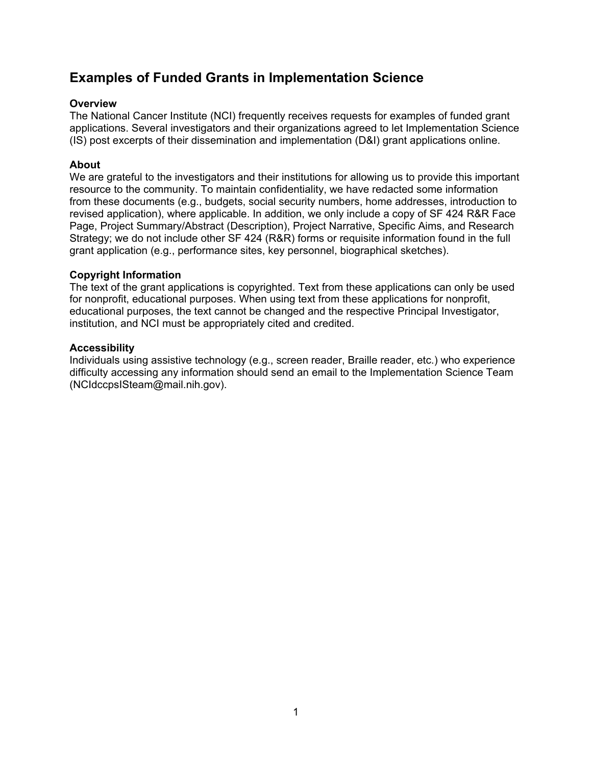# <span id="page-0-0"></span>**Examples of Funded Grants in Implementation Science**

#### **Overview**

The National Cancer Institute (NCI) frequently receives requests for examples of funded grant applications. Several investigators and their organizations agreed to let Implementation Science (IS) post excerpts of their dissemination and implementation (D&I) grant applications online.

#### **About**

We are grateful to the investigators and their institutions for allowing us to provide this important resource to the community. To maintain confidentiality, we have redacted some information from these documents (e.g., budgets, social security numbers, home addresses, introduction to revised application), where applicable. In addition, we only include a copy of SF 424 R&R Face Page, Project Summary/Abstract (Description), Project Narrative, Specific Aims, and Research Strategy; we do not include other SF 424 (R&R) forms or requisite information found in the full grant application (e.g., performance sites, key personnel, biographical sketches).

#### **Copyright Information**

The text of the grant applications is copyrighted. Text from these applications can only be used for nonprofit, educational purposes. When using text from these applications for nonprofit, educational purposes, the text cannot be changed and the respective Principal Investigator, institution, and NCI must be appropriately cited and credited.

#### **Accessibility**

Individuals using assistive technology (e.g., screen reader, Braille reader, etc.) who experience difficulty accessing any information should send an email to the Implementation Science Team (NCIdccpsISteam@mail.nih.gov).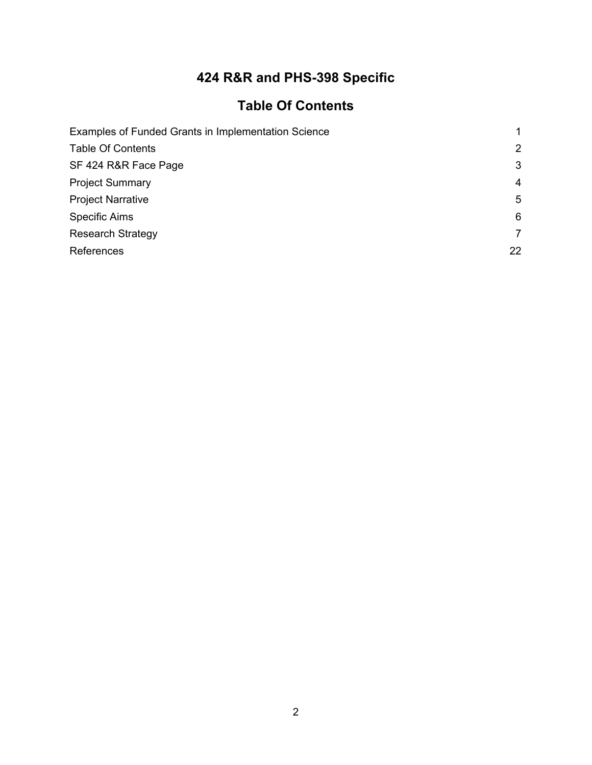# **424 R&R and PHS-398 Specific**

# **Table Of Contents**

<span id="page-1-0"></span>

| Examples of Funded Grants in Implementation Science |    |  |  |  |  |
|-----------------------------------------------------|----|--|--|--|--|
| <b>Table Of Contents</b>                            | 2  |  |  |  |  |
| SF 424 R&R Face Page                                | 3  |  |  |  |  |
| <b>Project Summary</b>                              | 4  |  |  |  |  |
| <b>Project Narrative</b>                            | 5  |  |  |  |  |
| <b>Specific Aims</b>                                | 6  |  |  |  |  |
| <b>Research Strategy</b>                            | 7  |  |  |  |  |
| References                                          | 22 |  |  |  |  |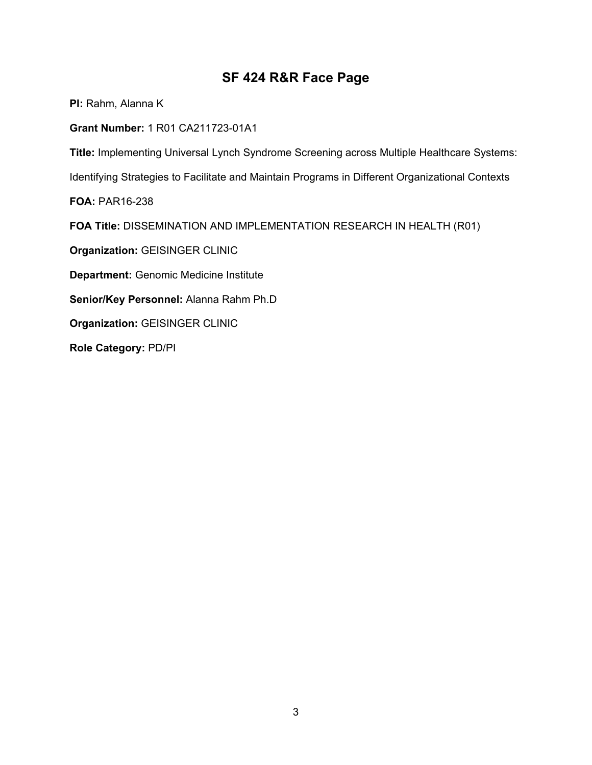# **SF 424 R&R Face Page**

<span id="page-2-0"></span>**PI:** Rahm, Alanna K

**Grant Number:** 1 R01 CA211723-01A1

**Title:** Implementing Universal Lynch Syndrome Screening across Multiple Healthcare Systems:

Identifying Strategies to Facilitate and Maintain Programs in Different Organizational Contexts

**FOA:** PAR16-238

**FOA Title:** DISSEMINATION AND IMPLEMENTATION RESEARCH IN HEALTH (R01)

**Organization:** GEISINGER CLINIC

**Department:** Genomic Medicine Institute

**Senior/Key Personnel:** Alanna Rahm Ph.D

**Organization:** GEISINGER CLINIC

**Role Category:** PD/PI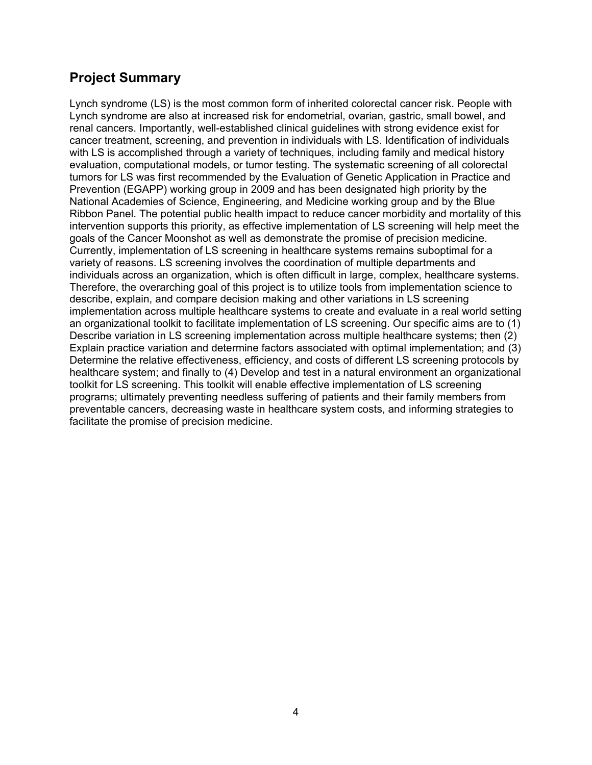# <span id="page-3-0"></span>**Project Summary**

Lynch syndrome (LS) is the most common form of inherited colorectal cancer risk. People with Lynch syndrome are also at increased risk for endometrial, ovarian, gastric, small bowel, and renal cancers. Importantly, well-established clinical guidelines with strong evidence exist for cancer treatment, screening, and prevention in individuals with LS. Identification of individuals with LS is accomplished through a variety of techniques, including family and medical history evaluation, computational models, or tumor testing. The systematic screening of all colorectal tumors for LS was first recommended by the Evaluation of Genetic Application in Practice and Prevention (EGAPP) working group in 2009 and has been designated high priority by the National Academies of Science, Engineering, and Medicine working group and by the Blue Ribbon Panel. The potential public health impact to reduce cancer morbidity and mortality of this intervention supports this priority, as effective implementation of LS screening will help meet the goals of the Cancer Moonshot as well as demonstrate the promise of precision medicine. Currently, implementation of LS screening in healthcare systems remains suboptimal for a variety of reasons. LS screening involves the coordination of multiple departments and individuals across an organization, which is often difficult in large, complex, healthcare systems. Therefore, the overarching goal of this project is to utilize tools from implementation science to describe, explain, and compare decision making and other variations in LS screening implementation across multiple healthcare systems to create and evaluate in a real world setting an organizational toolkit to facilitate implementation of LS screening. Our specific aims are to (1) Describe variation in LS screening implementation across multiple healthcare systems; then (2) Explain practice variation and determine factors associated with optimal implementation; and (3) Determine the relative effectiveness, efficiency, and costs of different LS screening protocols by healthcare system; and finally to (4) Develop and test in a natural environment an organizational toolkit for LS screening. This toolkit will enable effective implementation of LS screening programs; ultimately preventing needless suffering of patients and their family members from preventable cancers, decreasing waste in healthcare system costs, and informing strategies to facilitate the promise of precision medicine.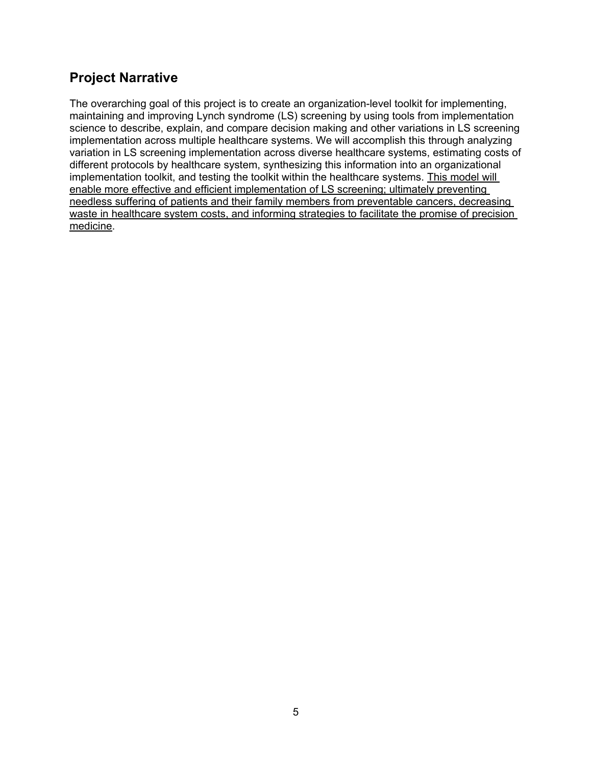# <span id="page-4-0"></span>**Project Narrative**

The overarching goal of this project is to create an organization-level toolkit for implementing, maintaining and improving Lynch syndrome (LS) screening by using tools from implementation science to describe, explain, and compare decision making and other variations in LS screening implementation across multiple healthcare systems. We will accomplish this through analyzing variation in LS screening implementation across diverse healthcare systems, estimating costs of different protocols by healthcare system, synthesizing this information into an organizational implementation toolkit, and testing the toolkit within the healthcare systems. This model will enable more effective and efficient implementation of LS screening; ultimately preventing needless suffering of patients and their family members from preventable cancers, decreasing waste in healthcare system costs, and informing strategies to facilitate the promise of precision medicine.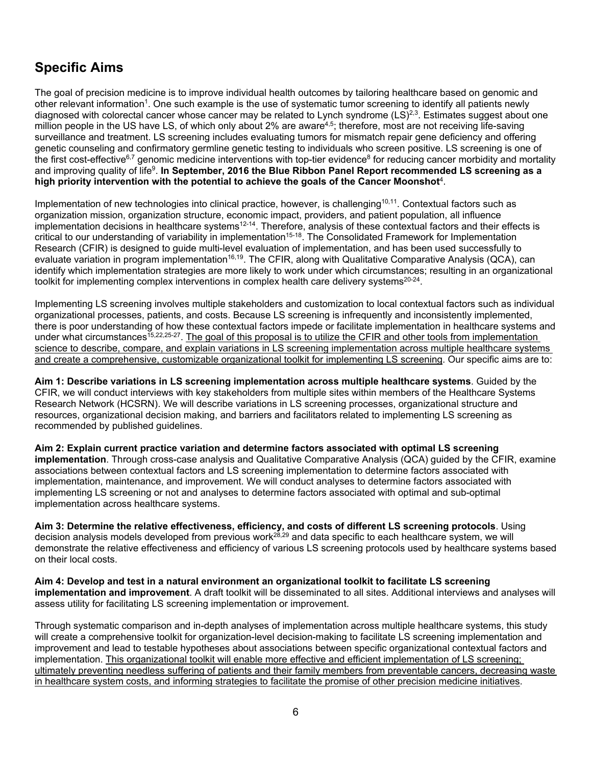# <span id="page-5-0"></span>**Specific Aims**

The goal of precision medicine is to improve individual health outcomes by tailoring healthcare based on genomic and other relevant information<sup>1</sup>. One such example is the use of systematic tumor screening to identify all patients newly diagnosed with colorectal cancer whose cancer may be related to Lynch syndrome (LS)<sup>2,3</sup>. Estimates suggest about one million people in the US have LS, of which only about 2% are aware<sup>4,5</sup>; therefore, most are not receiving life-saving surveillance and treatment. LS screening includes evaluating tumors for mismatch repair gene deficiency and offering genetic counseling and confirmatory germline genetic testing to individuals who screen positive. LS screening is one of the first cost-effective<sup>6,[7](#page-21-7)</sup> genomic medicine interventions with top-tier evidence<sup>8</sup> for reducing cancer morbidity and mortality and improving quality of lif[e9.](#page-21-9) **In September, 2016 the Blue Ribbon Panel Report recommended LS screening as a high priority intervention with the potential to achieve the goals of the Cancer Moonshot**[4.](#page-21-4)

Implementation of new technologies into clinical practice, however, is challenging<sup>10,11</sup>. Contextual factors such as organization mission, organization structure, economic impact, providers, and patient population, all influence implementation decisions in healthcare systems<sup>12-14</sup>. Therefore, analysis of these contextual factors and their effects is critical to our understanding of variability in implementation<sup>15-18</sup>. The Consolidated Framework for Implementation Research (CFIR) is designed to guide multi-level evaluation of implementation, and has been used successfully to evaluate variation in program implementation<sup>16,19</sup>. The CFIR, along with Qualitative Comparative Analysis (QCA), can identify which implementation strategies are more likely to work under which circumstances; resulting in an organizational toolkit for implementing complex interventions in complex health care delivery systems<sup>20-24</sup>.

Implementing LS screening involves multiple stakeholders and customization to local contextual factors such as individual organizational processes, patients, and costs. Because LS screening is infrequently and inconsistently implemented, there is poor understanding of how these contextual factors impede or facilitate implementation in healthcare systems and under what circumstances<sup>15,[22,](#page-22-1)[25-](#page-22-2)27</sup>. The goal of this proposal is to utilize the CFIR and other tools from implementation science to describe, compare, and explain variations in LS screening implementation across multiple healthcare systems and create a comprehensive, customizable organizational toolkit for implementing LS screening. Our specific aims are to:

**Aim 1: Describe variations in LS screening implementation across multiple healthcare systems**. Guided by the CFIR, we will conduct interviews with key stakeholders from multiple sites within members of the Healthcare Systems Research Network (HCSRN). We will describe variations in LS screening processes, organizational structure and resources, organizational decision making, and barriers and facilitators related to implementing LS screening as recommended by published guidelines.

**Aim 2: Explain current practice variation and determine factors associated with optimal LS screening implementation**. Through cross-case analysis and Qualitative Comparative Analysis (QCA) guided by the CFIR, examine associations between contextual factors and LS screening implementation to determine factors associated with implementation, maintenance, and improvement. We will conduct analyses to determine factors associated with implementing LS screening or not and analyses to determine factors associated with optimal and sub-optimal implementation across healthcare systems.

**Aim 3: Determine the relative effectiveness, efficiency, and costs of different LS screening protocols**. Using decision analysis models developed from previous work<sup>28,[29](#page-22-5)</sup> and data specific to each healthcare system, we will demonstrate the relative effectiveness and efficiency of various LS screening protocols used by healthcare systems based on their local costs.

**Aim 4: Develop and test in a natural environment an organizational toolkit to facilitate LS screening implementation and improvement**. A draft toolkit will be disseminated to all sites. Additional interviews and analyses will assess utility for facilitating LS screening implementation or improvement.

Through systematic comparison and in-depth analyses of implementation across multiple healthcare systems, this study will create a comprehensive toolkit for organization-level decision-making to facilitate LS screening implementation and improvement and lead to testable hypotheses about associations between specific organizational contextual factors and implementation. This organizational toolkit will enable more effective and efficient implementation of LS screening; ultimately preventing needless suffering of patients and their family members from preventable cancers, decreasing waste in healthcare system costs, and informing strategies to facilitate the promise of other precision medicine initiatives.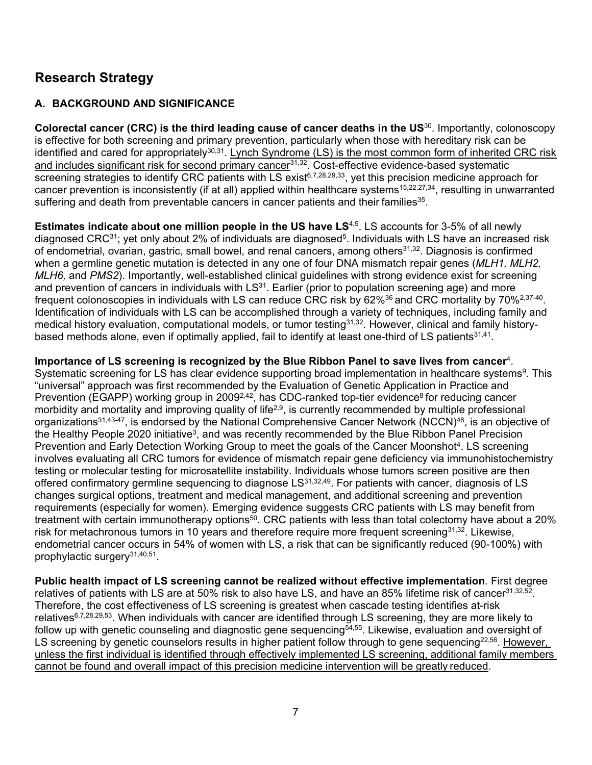# <span id="page-6-0"></span>**Research Strategy**

# **A. BACKGROUND AND SIGNIFICANCE**

**Colorectal cancer (CRC) is the third leading cause of cancer deaths in the US**[30.](#page-22-6) Importantly, colonoscopy is effective for both screening and primary prevention, particularly when those with hereditary risk can be identified and cared for appropriately<sup>30,31</sup>. Lynch Syndrome (LS) is the most common form of inherited CRC risk and includes significant risk for second primary cancer $31,32$ . Cost-effective evidence-based systematic screening strategies to identify CRC patients with LS exist<sup>6,[7,](#page-21-7)[28,](#page-22-4)[29,](#page-22-5)33</sup>, yet this precision medicine approach for cancer prevention is inconsistently (if at all) applied within healthcare systems<sup>15,[22,](#page-22-1)[27,](#page-22-3)34</sup>, resulting in unwarranted suffering and death from preventable cancers in cancer patients and their families $35$ .

**Estimates indicate about one million people in the US have LS<sup>[4](#page-21-4)[,5](#page-21-5)</sup>. LS accounts for 3-5% of all newly** diagnosed CRC $31$ ; yet only about 2% of individuals are diagnosed<sup>5</sup>. Individuals with LS have an increased risk of endometrial, ovarian, gastric, small bowel, and renal cancers, among others<sup>31,32</sup>. Diagnosis is confirmed when a germline genetic mutation is detected in any one of four DNA mismatch repair genes (*MLH1, MLH2, MLH6,* and *PMS2*). Importantly, well-established clinical guidelines with strong evidence exist for screening and prevention of cancers in individuals with  $LS<sup>31</sup>$ . Earlier (prior to population screening age) and more frequent colonoscopies in individuals with LS can reduce CRC risk by 62[%36](#page-22-12) and CRC mortality by 70[%2,](#page-21-2)[37-](#page-22-13)[40.](#page-22-14) Identification of individuals with LS can be accomplished through a variety of techniques, including family and medical history evaluation, computational models, or tumor testing<sup>31,32</sup>. However, clinical and family historybased methods alone, even if optimally applied, fail to identify at least one-third of LS patients<sup>31,41</sup>.

### **Importance of LS screening is recognized by the Blue Ribbon Panel to save lives from cancer**[4.](#page-21-4)

Systematic screening for LS has clear evidence supporting broad implementation in healthcare systems<sup>9</sup>. This "universal" approach was first recommended by the Evaluation of Genetic Application in Practice and Prevention (EGAPP) working group in 2009<sup>2,42</sup>, has CDC-ranked top-tier evidence<sup>8</sup> for reducing cancer morbidity and mortality and improving quality of life<sup>2,9</sup>, is currently recommended by multiple professional organizations<sup>31[,43](#page-23-2)-47</sup>, is endorsed by the National Comprehensive Cancer Network (NCCN)<sup>48</sup>, is an objective of the Healthy People 2020 initiative<sup>3</sup>, and was recently recommended by the Blue Ribbon Panel Precision Prevention and Early Detection Working Group to meet the goals of the Cancer Moonshot<sup>4</sup>. LS screening involves evaluating all CRC tumors for evidence of mismatch repair gene deficiency via immunohistochemistry testing or molecular testing for microsatellite instability. Individuals whose tumors screen positive are then offered confirmatory germline sequencing to diagnose L[S31,](#page-22-7)[32,](#page-22-8)[49.](#page-23-5) For patients with cancer, diagnosis of LS changes surgical options, treatment and medical management, and additional screening and prevention requirements (especially for women). Emerging evidence suggests CRC patients with LS may benefit from treatment with certain immunotherapy options<sup>50</sup>. CRC patients with less than total colectomy have about a 20% risk for metachronous tumors in 10 years and therefore require more frequent screening<sup>31,32</sup>. Likewise, endometrial cancer occurs in 54% of women with LS, a risk that can be significantly reduced (90-100%) with prophylactic surgery $31,40,51$  $31,40,51$  $31,40,51$ .

**Public health impact of LS screening cannot be realized without effective implementation**. First degree relatives of patients with LS are at 50% risk to also have LS, and have an 85% lifetime risk of cancer<sup>31[,32,](#page-22-8)52</sup>. Therefore, the cost effectiveness of LS screening is greatest when cascade testing identifies at-risk relative[s6,](#page-21-6)[7,](#page-21-7)[28,](#page-22-4)[29](#page-22-5)[,53.](#page-23-9) When individuals with cancer are identified through LS screening, they are more likely to follow up with genetic counseling and diagnostic gene sequencing<sup>54,55</sup>. Likewise, evaluation and oversight of LS screening by genetic counselors results in higher patient follow through to gene sequencing<sup>22,56</sup>. However, unless the first individual is identified through effectively implemented LS screening, additional family members cannot be found and overall impact of this precision medicine intervention will be greatly reduced.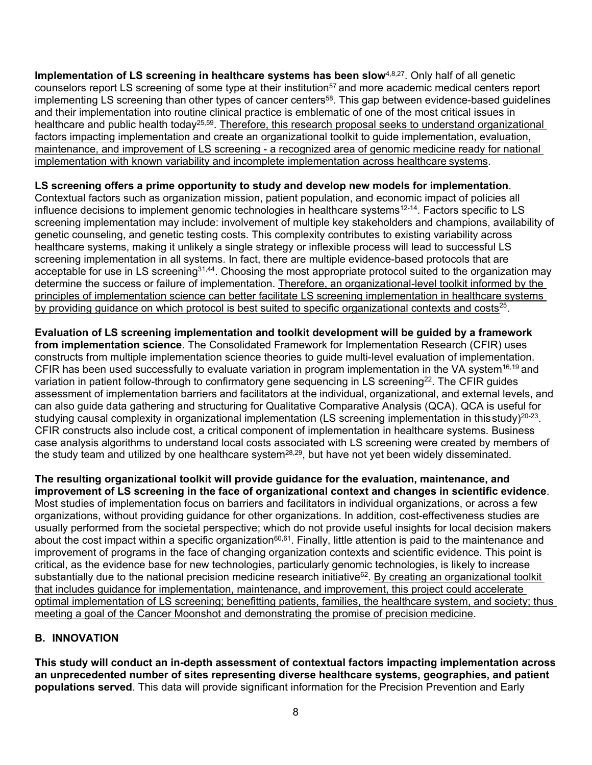**Implementation of LS screening in healthcare systems has been slow<sup>[4](#page-21-4)[,8,](#page-21-8)27</sup>. Only half of all genetic** counselors report LS screening of some type at their institution<sup>57</sup> and more academic medical centers report implementing LS screening than other types of cancer centers<sup>58</sup>. This gap between evidence-based guidelines and their implementation into routine clinical practice is emblematic of one of the most critical issues in healthcare and public health today<sup>25,59</sup>. Therefore, this research proposal seeks to understand organizational factors impacting implementation and create an organizational toolkit to guide implementation, evaluation, maintenance, and improvement of LS screening - a recognized area of genomic medicine ready for national implementation with known variability and incomplete implementation across healthcare systems.

#### **LS screening offers a prime opportunity to study and develop new models for implementation**.

Contextual factors such as organization mission, patient population, and economic impact of policies all influence decisions to implement genomic technologies in healthcare systems<sup>12-14</sup>. Factors specific to LS screening implementation may include: involvement of multiple key stakeholders and champions, availability of genetic counseling, and genetic testing costs. This complexity contributes to existing variability across healthcare systems, making it unlikely a single strategy or inflexible process will lead to successful LS screening implementation in all systems. In fact, there are multiple evidence-based protocols that are acceptable for use in LS screening<sup>31,44</sup>. Choosing the most appropriate protocol suited to the organization may determine the success or failure of implementation. Therefore, an organizational-level toolkit informed by the principles of implementation science can better facilitate LS screening implementation in healthcare systems by providing guidance on which protocol is best suited to specific organizational contexts and costs $25$ .

**Evaluation of LS screening implementation and toolkit development will be guided by a framework from implementation science**. The Consolidated Framework for Implementation Research (CFIR) uses constructs from multiple implementation science theories to guide multi-level evaluation of implementation. CFIR has been used successfully to evaluate variation in program implementation in the VA system<sup>16,[19](#page-21-17)</sup> and variation in patient follow-through to confirmatory gene sequencing in LS screening<sup>22</sup>. The CFIR guides assessment of implementation barriers and facilitators at the individual, organizational, and external levels, and can also guide data gathering and structuring for Qualitative Comparative Analysis (QCA). QCA is useful for studying causal complexity in organizational implementation (LS screening implementation in this study)<sup>20-23</sup>. CFIR constructs also include cost, a critical component of implementation in healthcare systems. Business case analysis algorithms to understand local costs associated with LS screening were created by members of the study team and utilized by one healthcare system<sup>28,29</sup>, but have not yet been widely disseminated.

**The resulting organizational toolkit will provide guidance for the evaluation, maintenance, and improvement of LS screening in the face of organizational context and changes in scientific evidence**. Most studies of implementation focus on barriers and facilitators in individual organizations, or across a few organizations, without providing guidance for other organizations. In addition, cost-effectiveness studies are usually performed from the societal perspective; which do not provide useful insights for local decision makers about the cost impact within a specific organization<sup>60,61</sup>. Finally, little attention is paid to the maintenance and improvement of programs in the face of changing organization contexts and scientific evidence. This point is critical, as the evidence base for new technologies, particularly genomic technologies, is likely to increase substantially due to the national precision medicine research initiative<sup>62</sup>. By creating an organizational toolkit that includes guidance for implementation, maintenance, and improvement, this project could accelerate optimal implementation of LS screening; benefitting patients, families, the healthcare system, and society; thus meeting a goal of the Cancer Moonshot and demonstrating the promise of precision medicine.

### **B. INNOVATION**

**This study will conduct an in-depth assessment of contextual factors impacting implementation across an unprecedented number of sites representing diverse healthcare systems, geographies, and patient populations served**. This data will provide significant information for the Precision Prevention and Early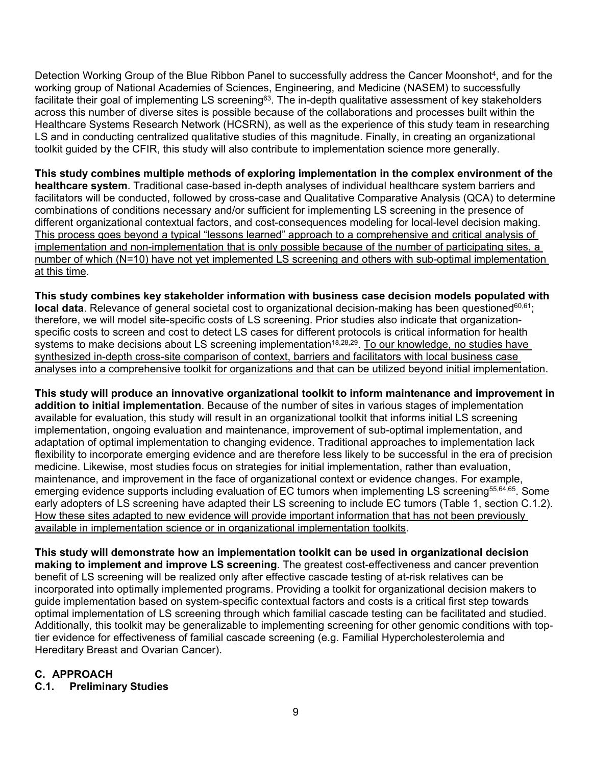Detection Working Group of the Blue Ribbon Panel to successfully address the Cancer Moonshot<sup>4</sup>, and for the working group of National Academies of Sciences, Engineering, and Medicine (NASEM) to successfully facilitate their goal of implementing LS screening<sup>63</sup>. The in-depth qualitative assessment of key stakeholders across this number of diverse sites is possible because of the collaborations and processes built within the Healthcare Systems Research Network (HCSRN), as well as the experience of this study team in researching LS and in conducting centralized qualitative studies of this magnitude. Finally, in creating an organizational toolkit guided by the CFIR, this study will also contribute to implementation science more generally.

**This study combines multiple methods of exploring implementation in the complex environment of the healthcare system**. Traditional case-based in-depth analyses of individual healthcare system barriers and facilitators will be conducted, followed by cross-case and Qualitative Comparative Analysis (QCA) to determine combinations of conditions necessary and/or sufficient for implementing LS screening in the presence of different organizational contextual factors, and cost-consequences modeling for local-level decision making. This process goes beyond a typical "lessons learned" approach to a comprehensive and critical analysis of implementation and non-implementation that is only possible because of the number of participating sites, a number of which (N=10) have not yet implemented LS screening and others with sub-optimal implementation at this time.

**This study combines key stakeholder information with business case decision models populated with local data**. Relevance of general societal cost to organizational decision-making has been questioned<sup>60,61</sup>; therefore, we will model site-specific costs of LS screening. Prior studies also indicate that organizationspecific costs to screen and cost to detect LS cases for different protocols is critical information for health systems to make decisions about LS screening implementation<sup>18,[28,](#page-22-4)29</sup>. To our knowledge, no studies have synthesized in-depth cross-site comparison of context, barriers and facilitators with local business case analyses into a comprehensive toolkit for organizations and that can be utilized beyond initial implementation.

**This study will produce an innovative organizational toolkit to inform maintenance and improvement in addition to initial implementation**. Because of the number of sites in various stages of implementation available for evaluation, this study will result in an organizational toolkit that informs initial LS screening implementation, ongoing evaluation and maintenance, improvement of sub-optimal implementation, and adaptation of optimal implementation to changing evidence. Traditional approaches to implementation lack flexibility to incorporate emerging evidence and are therefore less likely to be successful in the era of precision medicine. Likewise, most studies focus on strategies for initial implementation, rather than evaluation, maintenance, and improvement in the face of organizational context or evidence changes. For example, emerging evidence supports including evaluation of EC tumors when implementing LS screening<sup>55,[64,](#page-24-5)65</sup>. Some early adopters of LS screening have adapted their LS screening to include EC tumors (Table 1, section C.1.2). How these sites adapted to new evidence will provide important information that has not been previously available in implementation science or in organizational implementation toolkits.

**This study will demonstrate how an implementation toolkit can be used in organizational decision making to implement and improve LS screening**. The greatest cost-effectiveness and cancer prevention benefit of LS screening will be realized only after effective cascade testing of at-risk relatives can be incorporated into optimally implemented programs. Providing a toolkit for organizational decision makers to guide implementation based on system-specific contextual factors and costs is a critical first step towards optimal implementation of LS screening through which familial cascade testing can be facilitated and studied. Additionally, this toolkit may be generalizable to implementing screening for other genomic conditions with toptier evidence for effectiveness of familial cascade screening (e.g. Familial Hypercholesterolemia and Hereditary Breast and Ovarian Cancer).

### **C. APPROACH**

**C.1. Preliminary Studies**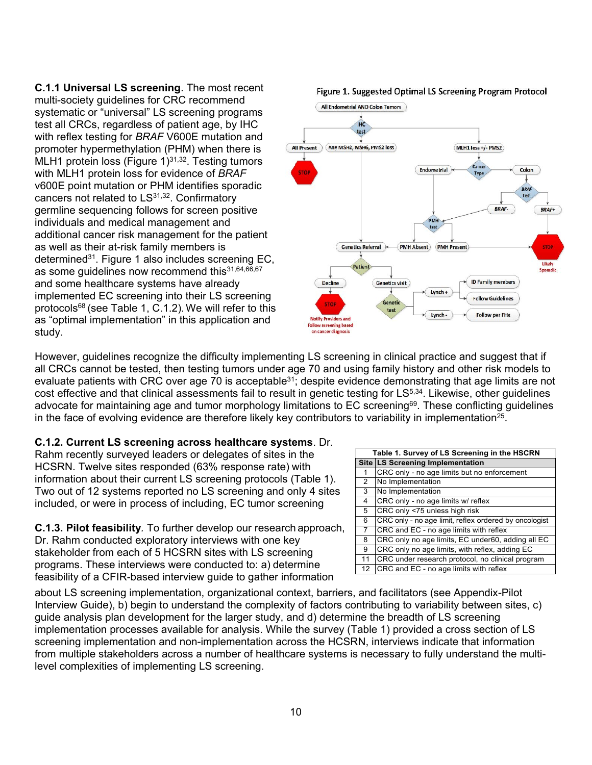**C.1.1 Universal LS screening**. The most recent multi-society guidelines for CRC recommend systematic or "universal" LS screening programs test all CRCs, regardless of patient age, by IHC with reflex testing for *BRAF* V600E mutation and promoter hypermethylation (PHM) when there is MLH1 protein loss (Figure  $1)^{31,32}$ . Testing tumors with MLH1 protein loss for evidence of *BRAF*  v600E point mutation or PHM identifies sporadic cancers not related to LS<sup>31,32</sup>. Confirmatory germline sequencing follows for screen positive individuals and medical management and additional cancer risk management for the patient as well as their at-risk family members is determine[d31.](#page-22-7) Figure 1 also includes screening EC, as some guidelines now recommend this 31,[64](#page-24-5)[,66,](#page-24-7)[67](#page-24-8) and some healthcare systems have already implemented EC screening into their LS screening protocol[s68](#page-24-9) (see Table 1, C.1.2).We will refer to this as "optimal implementation" in this application and study.

All Endometrial AND Colon Tumors **IHC** test All Present ) (Any MSH2, MSH6, PMS2 loss MLH1 loss +/- PMS2 Cance Endometrial Colon stor Type **BRAF Test BRAF-**BRAF+ **PMH** Genetics Referral (PMH Absent) (PMH Present **STOP** Likely Patient Smaalic **ID Family members** Genetics visit **Decline**  $Lynch +$ **Follow Guidelines STOP** Genetic test Lynch -**Follow per FHx lotify Provide Follow screening based** on cancer diagr

#### Figure 1. Suggested Optimal LS Screening Program Protocol

However, guidelines recognize the difficulty implementing LS screening in clinical practice and suggest that if all CRCs cannot be tested, then testing tumors under age 70 and using family history and other risk models to evaluate patients with CRC over age 70 is acceptable<sup>31</sup>; despite evidence demonstrating that age limits are not cost effective and that clinical assessments fail to result in genetic testing for LS<sup>5,34</sup>. Likewise, other guidelines advocate for maintaining age and tumor morphology limitations to EC screening<sup>69</sup>. These conflicting guidelines in the face of evolving evidence are therefore likely key contributors to variability in implementation<sup>25</sup>.

#### **C.1.2. Current LS screening across healthcare systems**. Dr.

Rahm recently surveyed leaders or delegates of sites in the HCSRN. Twelve sites responded (63% response rate) with information about their current LS screening protocols (Table 1). Two out of 12 systems reported no LS screening and only 4 sites included, or were in process of including, EC tumor screening

**C.1.3. Pilot feasibility***.* To further develop our research approach, Dr. Rahm conducted exploratory interviews with one key stakeholder from each of 5 HCSRN sites with LS screening programs. These interviews were conducted to: a) determine feasibility of a CFIR-based interview guide to gather information

|                   | Table 1. Survey of LS Screening in the HSCRN          |
|-------------------|-------------------------------------------------------|
|                   | Site LS Screening Implementation                      |
|                   | CRC only - no age limits but no enforcement           |
| 2                 | No Implementation                                     |
| 3                 | No Implementation                                     |
| 4                 | CRC only - no age limits w/ reflex                    |
| 5                 | CRC only <75 unless high risk                         |
| 6                 | CRC only - no age limit, reflex ordered by oncologist |
| $\overline{7}$    | CRC and EC - no age limits with reflex                |
| 8                 | CRC only no age limits, EC under60, adding all EC     |
| 9                 | CRC only no age limits, with reflex, adding EC        |
| 11                | CRC under research protocol, no clinical program      |
| $12 \overline{ }$ | CRC and EC - no age limits with reflex                |

about LS screening implementation, organizational context, barriers, and facilitators (see Appendix-Pilot Interview Guide), b) begin to understand the complexity of factors contributing to variability between sites, c) guide analysis plan development for the larger study, and d) determine the breadth of LS screening implementation processes available for analysis. While the survey (Table 1) provided a cross section of LS screening implementation and non-implementation across the HCSRN, interviews indicate that information from multiple stakeholders across a number of healthcare systems is necessary to fully understand the multilevel complexities of implementing LS screening.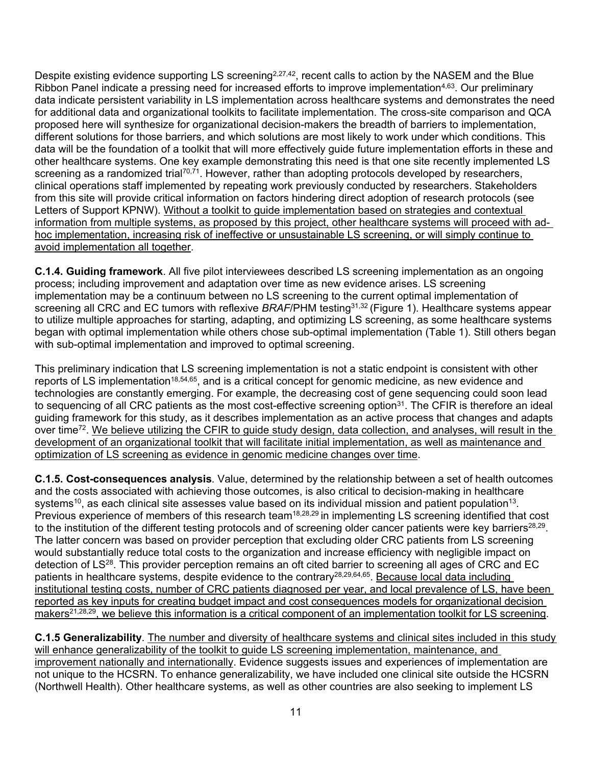Despite existing evidence supporting LS screening<sup>2,[27,](#page-22-3)42</sup>, recent calls to action by the NASEM and the Blue Ribbon Panel indicate a pressing need for increased efforts to improve implementation<sup>4,63</sup>. Our preliminary data indicate persistent variability in LS implementation across healthcare systems and demonstrates the need for additional data and organizational toolkits to facilitate implementation. The cross-site comparison and QCA proposed here will synthesize for organizational decision-makers the breadth of barriers to implementation, different solutions for those barriers, and which solutions are most likely to work under which conditions. This data will be the foundation of a toolkit that will more effectively guide future implementation efforts in these and other healthcare systems. One key example demonstrating this need is that one site recently implemented LS screening as a randomized trial<sup>70,71</sup>. However, rather than adopting protocols developed by researchers, clinical operations staff implemented by repeating work previously conducted by researchers. Stakeholders from this site will provide critical information on factors hindering direct adoption of research protocols (see Letters of Support KPNW). Without a toolkit to guide implementation based on strategies and contextual information from multiple systems, as proposed by this project, other healthcare systems will proceed with adhoc implementation, increasing risk of ineffective or unsustainable LS screening, or will simply continue to avoid implementation all together.

**C.1.4. Guiding framework**. All five pilot interviewees described LS screening implementation as an ongoing process; including improvement and adaptation over time as new evidence arises. LS screening implementation may be a continuum between no LS screening to the current optimal implementation of screening all CRC and EC tumors with reflexive *BRAF*/PHM testing<sup>31,[32](#page-22-8)</sup> (Figure 1). Healthcare systems appear to utilize multiple approaches for starting, adapting, and optimizing LS screening, as some healthcare systems began with optimal implementation while others chose sub-optimal implementation (Table 1). Still others began with sub-optimal implementation and improved to optimal screening.

This preliminary indication that LS screening implementation is not a static endpoint is consistent with other reports of LS implementation<sup>18,[54](#page-23-10),65</sup>, and is a critical concept for genomic medicine, as new evidence and technologies are constantly emerging. For example, the decreasing cost of gene sequencing could soon lead to sequencing of all CRC patients as the most cost-effective screening option<sup>31</sup>. The CFIR is therefore an ideal guiding framework for this study, as it describes implementation as an active process that changes and adapts over time<sup>72</sup>. We believe utilizing the CFIR to guide study design, data collection, and analyses, will result in the development of an organizational toolkit that will facilitate initial implementation, as well as maintenance and optimization of LS screening as evidence in genomic medicine changes over time.

**C.1.5. Cost-consequences analysis***.* Value, determined by the relationship between a set of health outcomes and the costs associated with achieving those outcomes, is also critical to decision-making in healthcare systems<sup>10</sup>, as each clinical site assesses value based on its individual mission and patient population<sup>13</sup>. Previous experience of members of this research team<sup>18,[28](#page-22-4)[,29](#page-22-5)</sup> in implementing LS screening identified that cost to the institution of the different testing protocols and of screening older cancer patients were key barriers<sup>28,29</sup>. The latter concern was based on provider perception that excluding older CRC patients from LS screening would substantially reduce total costs to the organization and increase efficiency with negligible impact on detection of L[S28.](#page-22-4) This provider perception remains an oft cited barrier to screening all ages of CRC and EC patients in healthcare systems, despite evidence to the contrary<sup>28,[29,](#page-22-5)[64,](#page-24-5)65</sup>. Because local data including institutional testing costs, number of CRC patients diagnosed per year, and local prevalence of LS, have been reported as key inputs for creating budget impact and cost consequences models for organizational decision makers<sup>21,[28,](#page-22-4)29</sup>, we believe this information is a critical component of an implementation toolkit for LS screening.

**C.1.5 Generalizability**. The number and diversity of healthcare systems and clinical sites included in this study will enhance generalizability of the toolkit to guide LS screening implementation, maintenance, and improvement nationally and internationally. Evidence suggests issues and experiences of implementation are not unique to the HCSRN. To enhance generalizability, we have included one clinical site outside the HCSRN (Northwell Health). Other healthcare systems, as well as other countries are also seeking to implement LS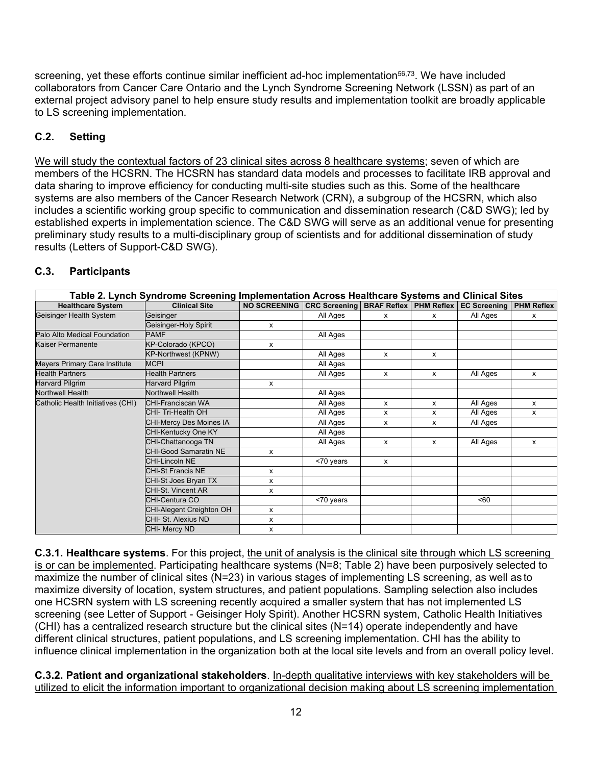screening, yet these efforts continue similar inefficient ad-hoc implementation<sup>56,73</sup>. We have included collaborators from Cancer Care Ontario and the Lynch Syndrome Screening Network (LSSN) as part of an external project advisory panel to help ensure study results and implementation toolkit are broadly applicable to LS screening implementation.

## **C.2. Setting**

We will study the contextual factors of 23 clinical sites across 8 healthcare systems; seven of which are members of the HCSRN. The HCSRN has standard data models and processes to facilitate IRB approval and data sharing to improve efficiency for conducting multi-site studies such as this. Some of the healthcare systems are also members of the Cancer Research Network (CRN), a subgroup of the HCSRN, which also includes a scientific working group specific to communication and dissemination research (C&D SWG); led by established experts in implementation science. The C&D SWG will serve as an additional venue for presenting preliminary study results to a multi-disciplinary group of scientists and for additional dissemination of study results (Letters of Support-C&D SWG).

### **C.3. Participants**

|                                   | Table 2. Lynch Syndrome Screening Implementation Across Healthcare Systems and Clinical Sites |                                                                |           |                           |   |          |                   |  |  |  |  |  |
|-----------------------------------|-----------------------------------------------------------------------------------------------|----------------------------------------------------------------|-----------|---------------------------|---|----------|-------------------|--|--|--|--|--|
| <b>Healthcare System</b>          | <b>Clinical Site</b>                                                                          | NO SCREENING CRC Screening BRAF Reflex PHM Reflex EC Screening |           |                           |   |          | <b>PHM Reflex</b> |  |  |  |  |  |
| Geisinger Health System           | Geisinger                                                                                     |                                                                | All Ages  | $\mathsf{x}$              | x | All Ages | x                 |  |  |  |  |  |
|                                   | Geisinger-Holy Spirit                                                                         | x                                                              |           |                           |   |          |                   |  |  |  |  |  |
| Palo Alto Medical Foundation      | <b>PAMF</b>                                                                                   |                                                                | All Ages  |                           |   |          |                   |  |  |  |  |  |
| Kaiser Permanente                 | KP-Colorado (KPCO)                                                                            | x                                                              |           |                           |   |          |                   |  |  |  |  |  |
|                                   | <b>KP-Northwest (KPNW)</b>                                                                    |                                                                | All Ages  | X                         | X |          |                   |  |  |  |  |  |
| Meyers Primary Care Institute     | <b>MCPI</b>                                                                                   |                                                                | All Ages  |                           |   |          |                   |  |  |  |  |  |
| <b>Health Partners</b>            | <b>Health Partners</b>                                                                        |                                                                | All Ages  | $\mathsf{x}$              | X | All Ages | x                 |  |  |  |  |  |
| <b>Harvard Pilgrim</b>            | <b>Harvard Pilgrim</b>                                                                        | x                                                              |           |                           |   |          |                   |  |  |  |  |  |
| <b>Northwell Health</b>           | <b>Northwell Health</b>                                                                       |                                                                | All Ages  |                           |   |          |                   |  |  |  |  |  |
| Catholic Health Initiatives (CHI) | <b>CHI-Franciscan WA</b>                                                                      |                                                                | All Ages  | $\mathsf{x}$              | X | All Ages | X                 |  |  |  |  |  |
|                                   | CHI-Tri-Health OH                                                                             |                                                                | All Ages  | X                         | x | All Ages | x                 |  |  |  |  |  |
|                                   | <b>CHI-Mercy Des Moines IA</b>                                                                |                                                                | All Ages  | X                         | x | All Ages |                   |  |  |  |  |  |
|                                   | CHI-Kentucky One KY                                                                           |                                                                | All Ages  |                           |   |          |                   |  |  |  |  |  |
|                                   | CHI-Chattanooga TN                                                                            |                                                                | All Ages  | $\mathsf{x}$              | X | All Ages | $\mathsf{x}$      |  |  |  |  |  |
|                                   | <b>CHI-Good Samaratin NE</b>                                                                  | X                                                              |           |                           |   |          |                   |  |  |  |  |  |
|                                   | <b>CHI-Lincoln NE</b>                                                                         |                                                                | <70 years | $\boldsymbol{\mathsf{x}}$ |   |          |                   |  |  |  |  |  |
|                                   | <b>CHI-St Francis NE</b>                                                                      | x                                                              |           |                           |   |          |                   |  |  |  |  |  |
|                                   | CHI-St Joes Bryan TX                                                                          | x                                                              |           |                           |   |          |                   |  |  |  |  |  |
|                                   | <b>CHI-St. Vincent AR</b>                                                                     | x                                                              |           |                           |   |          |                   |  |  |  |  |  |
|                                   | CHI-Centura CO                                                                                |                                                                | <70 years |                           |   | < 60     |                   |  |  |  |  |  |
|                                   | <b>CHI-Alegent Creighton OH</b>                                                               | X                                                              |           |                           |   |          |                   |  |  |  |  |  |
|                                   | CHI- St. Alexius ND                                                                           | x                                                              |           |                           |   |          |                   |  |  |  |  |  |
|                                   | CHI- Mercy ND                                                                                 | x                                                              |           |                           |   |          |                   |  |  |  |  |  |

**C.3.1. Healthcare systems**. For this project, the unit of analysis is the clinical site through which LS screening is or can be implemented. Participating healthcare systems (N=8; Table 2) have been purposively selected to maximize the number of clinical sites (N=23) in various stages of implementing LS screening, as well as to maximize diversity of location, system structures, and patient populations. Sampling selection also includes one HCSRN system with LS screening recently acquired a smaller system that has not implemented LS screening (see Letter of Support - Geisinger Holy Spirit). Another HCSRN system, Catholic Health Initiatives (CHI) has a centralized research structure but the clinical sites (N=14) operate independently and have different clinical structures, patient populations, and LS screening implementation. CHI has the ability to influence clinical implementation in the organization both at the local site levels and from an overall policy level.

**C.3.2. Patient and organizational stakeholders**. In-depth qualitative interviews with key stakeholders will be utilized to elicit the information important to organizational decision making about LS screening implementation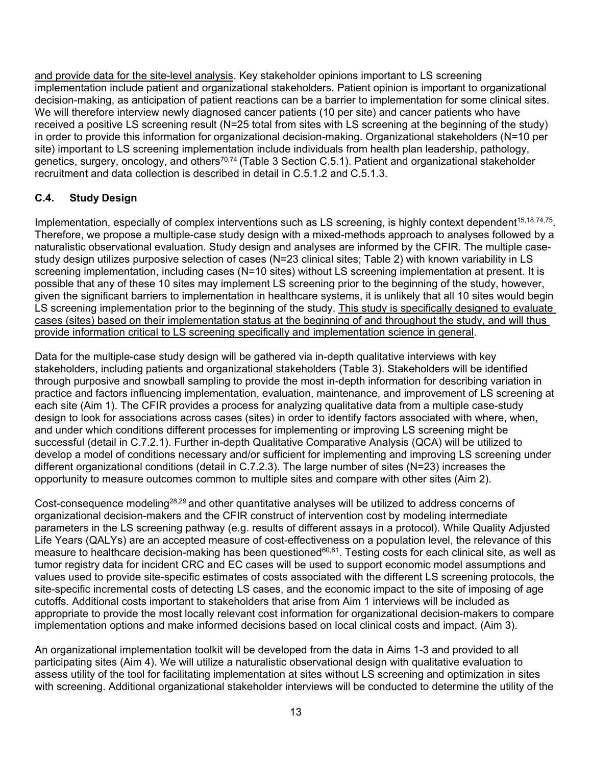and provide data for the site-level analysis. Key stakeholder opinions important to LS screening implementation include patient and organizational stakeholders. Patient opinion is important to organizational decision-making, as anticipation of patient reactions can be a barrier to implementation for some clinical sites. We will therefore interview newly diagnosed cancer patients (10 per site) and cancer patients who have received a positive LS screening result (N=25 total from sites with LS screening at the beginning of the study) in order to provide this information for organizational decision-making. Organizational stakeholders (N=10 per site) important to LS screening implementation include individuals from health plan leadership, pathology, genetics, surgery, oncology, and others<sup>70,[74](#page-24-15)</sup> (Table 3 Section C.5.1). Patient and organizational stakeholder recruitment and data collection is described in detail in C.5.1.2 and C.5.1.3.

### **C.4. Study Design**

Implementation, especially of complex interventions such as LS screening, is highly context dependent<sup>15,[18,](#page-21-15)[74](#page-24-15),75</sup>. Therefore, we propose a multiple-case study design with a mixed-methods approach to analyses followed by a naturalistic observational evaluation. Study design and analyses are informed by the CFIR. The multiple casestudy design utilizes purposive selection of cases (N=23 clinical sites; Table 2) with known variability in LS screening implementation, including cases (N=10 sites) without LS screening implementation at present. It is possible that any of these 10 sites may implement LS screening prior to the beginning of the study, however, given the significant barriers to implementation in healthcare systems, it is unlikely that all 10 sites would begin LS screening implementation prior to the beginning of the study. This study is specifically designed to evaluate cases (sites) based on their implementation status at the beginning of and throughout the study, and will thus provide information critical to LS screening specifically and implementation science in general.

Data for the multiple-case study design will be gathered via in-depth qualitative interviews with key stakeholders, including patients and organizational stakeholders (Table 3). Stakeholders will be identified through purposive and snowball sampling to provide the most in-depth information for describing variation in practice and factors influencing implementation, evaluation, maintenance, and improvement of LS screening at each site (Aim 1). The CFIR provides a process for analyzing qualitative data from a multiple case-study design to look for associations across cases (sites) in order to identify factors associated with where, when, and under which conditions different processes for implementing or improving LS screening might be successful (detail in C.7.2.1). Further in-depth Qualitative Comparative Analysis (QCA) will be utilized to develop a model of conditions necessary and/or sufficient for implementing and improving LS screening under different organizational conditions (detail in C.7.2.3). The large number of sites (N=23) increases the opportunity to measure outcomes common to multiple sites and compare with other sites (Aim 2).

Cost-consequence modelin[g28](#page-22-4)[,29](#page-22-5) and other quantitative analyses will be utilized to address concerns of organizational decision-makers and the CFIR construct of intervention cost by modeling intermediate parameters in the LS screening pathway (e.g. results of different assays in a protocol). While Quality Adjusted Life Years (QALYs) are an accepted measure of cost-effectiveness on a population level, the relevance of this measure to healthcare decision-making has been questioned<sup>60,61</sup>. Testing costs for each clinical site, as well as tumor registry data for incident CRC and EC cases will be used to support economic model assumptions and values used to provide site-specific estimates of costs associated with the different LS screening protocols, the site-specific incremental costs of detecting LS cases, and the economic impact to the site of imposing of age cutoffs. Additional costs important to stakeholders that arise from Aim 1 interviews will be included as appropriate to provide the most locally relevant cost information for organizational decision-makers to compare implementation options and make informed decisions based on local clinical costs and impact. (Aim 3).

An organizational implementation toolkit will be developed from the data in Aims 1-3 and provided to all participating sites (Aim 4). We will utilize a naturalistic observational design with qualitative evaluation to assess utility of the tool for facilitating implementation at sites without LS screening and optimization in sites with screening. Additional organizational stakeholder interviews will be conducted to determine the utility of the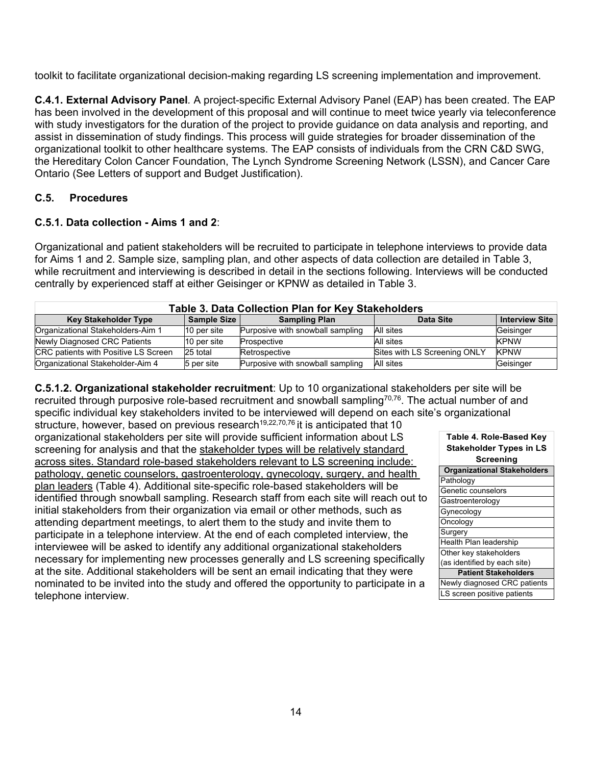toolkit to facilitate organizational decision-making regarding LS screening implementation and improvement.

**C.4.1. External Advisory Panel***.* A project-specific External Advisory Panel (EAP) has been created. The EAP has been involved in the development of this proposal and will continue to meet twice yearly via teleconference with study investigators for the duration of the project to provide guidance on data analysis and reporting, and assist in dissemination of study findings. This process will guide strategies for broader dissemination of the organizational toolkit to other healthcare systems. The EAP consists of individuals from the CRN C&D SWG, the Hereditary Colon Cancer Foundation, The Lynch Syndrome Screening Network (LSSN), and Cancer Care Ontario (See Letters of support and Budget Justification).

#### **C.5. Procedures**

#### **C.5.1. Data collection - Aims 1 and 2**:

Organizational and patient stakeholders will be recruited to participate in telephone interviews to provide data for Aims 1 and 2. Sample size, sampling plan, and other aspects of data collection are detailed in Table 3, while recruitment and interviewing is described in detail in the sections following. Interviews will be conducted centrally by experienced staff at either Geisinger or KPNW as detailed in Table 3.

| Table 3. Data Collection Plan for Key Stakeholders                                                       |             |                                  |                              |             |  |  |  |  |  |  |  |  |
|----------------------------------------------------------------------------------------------------------|-------------|----------------------------------|------------------------------|-------------|--|--|--|--|--|--|--|--|
| Sample Size<br><b>Key Stakeholder Type</b><br><b>Interview Site</b><br><b>Sampling Plan</b><br>Data Site |             |                                  |                              |             |  |  |  |  |  |  |  |  |
| Organizational Stakeholders-Aim 1                                                                        | 10 per site | Purposive with snowball sampling | All sites                    | Geisinger   |  |  |  |  |  |  |  |  |
| Newly Diagnosed CRC Patients                                                                             | 10 per site | Prospective                      | All sites                    | <b>KPNW</b> |  |  |  |  |  |  |  |  |
| CRC patients with Positive LS Screen                                                                     | 25 total    | Retrospective                    | Sites with LS Screening ONLY | <b>KPNW</b> |  |  |  |  |  |  |  |  |
| Organizational Stakeholder-Aim 4                                                                         | 5 per site  | Purposive with snowball sampling | All sites                    | Geisinger   |  |  |  |  |  |  |  |  |

**C.5.1.2. Organizational stakeholder recruitment**: Up to 10 organizational stakeholders per site will be recruited through purposive role-based recruitment and snowball sampling<sup>70,76</sup>. The actual number of and specific individual key stakeholders invited to be interviewed will depend on each site's organizational

structure, however, based on previous research<sup>19[,22,](#page-22-1)[70,](#page-24-11)[76](#page-24-17)</sup> it is anticipated that 10 organizational stakeholders per site will provide sufficient information about LS screening for analysis and that the stakeholder types will be relatively standard across sites. Standard role-based stakeholders relevant to LS screening include: pathology, genetic counselors, gastroenterology, gynecology, surgery, and health plan leaders (Table 4). Additional site-specific role-based stakeholders will be identified through snowball sampling. Research staff from each site will reach out to initial stakeholders from their organization via email or other methods, such as attending department meetings, to alert them to the study and invite them to participate in a telephone interview. At the end of each completed interview, the interviewee will be asked to identify any additional organizational stakeholders necessary for implementing new processes generally and LS screening specifically at the site. Additional stakeholders will be sent an email indicating that they were nominated to be invited into the study and offered the opportunity to participate in a telephone interview.

| Table 4. Role-Based Key            |  |  |  |  |  |  |  |  |
|------------------------------------|--|--|--|--|--|--|--|--|
| <b>Stakeholder Types in LS</b>     |  |  |  |  |  |  |  |  |
| <b>Screening</b>                   |  |  |  |  |  |  |  |  |
| <b>Organizational Stakeholders</b> |  |  |  |  |  |  |  |  |
| Pathology                          |  |  |  |  |  |  |  |  |
| Genetic counselors                 |  |  |  |  |  |  |  |  |
| Gastroenterology                   |  |  |  |  |  |  |  |  |
| Gynecology                         |  |  |  |  |  |  |  |  |
| Oncology                           |  |  |  |  |  |  |  |  |
| Surgery                            |  |  |  |  |  |  |  |  |
| Health Plan leadership             |  |  |  |  |  |  |  |  |
| Other key stakeholders             |  |  |  |  |  |  |  |  |
| (as identified by each site)       |  |  |  |  |  |  |  |  |
| <b>Patient Stakeholders</b>        |  |  |  |  |  |  |  |  |
| Newly diagnosed CRC patients       |  |  |  |  |  |  |  |  |
| LS screen positive patients        |  |  |  |  |  |  |  |  |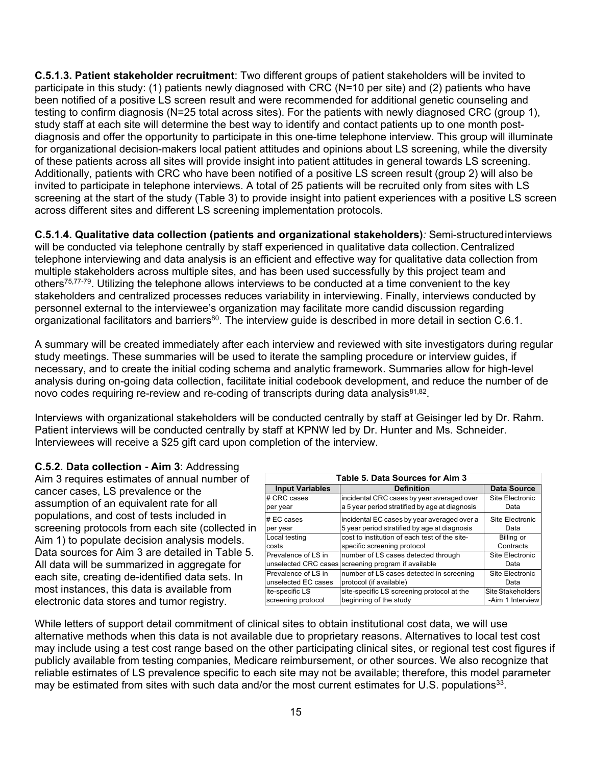**C.5.1.3. Patient stakeholder recruitment**: Two different groups of patient stakeholders will be invited to participate in this study: (1) patients newly diagnosed with CRC (N=10 per site) and (2) patients who have been notified of a positive LS screen result and were recommended for additional genetic counseling and testing to confirm diagnosis (N=25 total across sites). For the patients with newly diagnosed CRC (group 1), study staff at each site will determine the best way to identify and contact patients up to one month postdiagnosis and offer the opportunity to participate in this one-time telephone interview. This group will illuminate for organizational decision-makers local patient attitudes and opinions about LS screening, while the diversity of these patients across all sites will provide insight into patient attitudes in general towards LS screening. Additionally, patients with CRC who have been notified of a positive LS screen result (group 2) will also be invited to participate in telephone interviews. A total of 25 patients will be recruited only from sites with LS screening at the start of the study (Table 3) to provide insight into patient experiences with a positive LS screen across different sites and different LS screening implementation protocols.

**C.5.1.4. Qualitative data collection (patients and organizational stakeholders)***:* Semi-structuredinterviews will be conducted via telephone centrally by staff experienced in qualitative data collection. Centralized telephone interviewing and data analysis is an efficient and effective way for qualitative data collection from multiple stakeholders across multiple sites, and has been used successfully by this project team and other[s75,](#page-24-16)[77](#page-24-18)[-79.](#page-25-0) Utilizing the telephone allows interviews to be conducted at a time convenient to the key stakeholders and centralized processes reduces variability in interviewing. Finally, interviews conducted by personnel external to the interviewee's organization may facilitate more candid discussion regarding organizational facilitators and barriers<sup>80</sup>. The interview guide is described in more detail in section C.6.1.

A summary will be created immediately after each interview and reviewed with site investigators during regular study meetings. These summaries will be used to iterate the sampling procedure or interview guides, if necessary, and to create the initial coding schema and analytic framework. Summaries allow for high-level analysis during on-going data collection, facilitate initial codebook development, and reduce the number of de novo codes requiring re-review and re-coding of transcripts during data analysis $81,82$ .

Interviews with organizational stakeholders will be conducted centrally by staff at Geisinger led by Dr. Rahm. Patient interviews will be conducted centrally by staff at KPNW led by Dr. Hunter and Ms. Schneider. Interviewees will receive a \$25 gift card upon completion of the interview.

**C.5.2. Data collection - Aim 3**: Addressing Aim 3 requires estimates of annual number of cancer cases, LS prevalence or the assumption of an equivalent rate for all populations, and cost of tests included in screening protocols from each site (collected in Aim 1) to populate decision analysis models. Data sources for Aim 3 are detailed in Table 5. All data will be summarized in aggregate for each site, creating de-identified data sets. In most instances, this data is available from electronic data stores and tumor registry.

| Table 5. Data Sources for Aim 3 |                                                |                    |  |  |  |  |  |  |  |  |
|---------------------------------|------------------------------------------------|--------------------|--|--|--|--|--|--|--|--|
| <b>Input Variables</b>          | <b>Definition</b>                              | <b>Data Source</b> |  |  |  |  |  |  |  |  |
| # CRC cases                     | incidental CRC cases by year averaged over     | Site Electronic    |  |  |  |  |  |  |  |  |
| per year                        | a 5 year period stratified by age at diagnosis | Data               |  |  |  |  |  |  |  |  |
| $# EC \; cases$                 | incidental EC cases by year averaged over a    | Site Electronic    |  |  |  |  |  |  |  |  |
| per year                        | 5 year period stratified by age at diagnosis   | Data               |  |  |  |  |  |  |  |  |
| Local testing                   | cost to institution of each test of the site-  | Billing or         |  |  |  |  |  |  |  |  |
| costs                           | specific screening protocol                    | Contracts          |  |  |  |  |  |  |  |  |
| Prevalence of LS in             | number of LS cases detected through            | Site Electronic    |  |  |  |  |  |  |  |  |
| unselected CRC cases            | screening program if available                 | Data               |  |  |  |  |  |  |  |  |
| Prevalence of LS in             | number of LS cases detected in screening       | Site Electronic    |  |  |  |  |  |  |  |  |
| unselected EC cases             | protocol (if available)                        | Data               |  |  |  |  |  |  |  |  |
| ite-specific LS                 | site-specific LS screening protocol at the     | Site Stakeholders  |  |  |  |  |  |  |  |  |
| screening protocol              | beginning of the study                         | -Aim 1 Interview   |  |  |  |  |  |  |  |  |

While letters of support detail commitment of clinical sites to obtain institutional cost data, we will use alternative methods when this data is not available due to proprietary reasons. Alternatives to local test cost may include using a test cost range based on the other participating clinical sites, or regional test cost figures if publicly available from testing companies, Medicare reimbursement, or other sources. We also recognize that reliable estimates of LS prevalence specific to each site may not be available; therefore, this model parameter may be estimated from sites with such data and/or the most current estimates for U.S. populations<sup>33</sup>.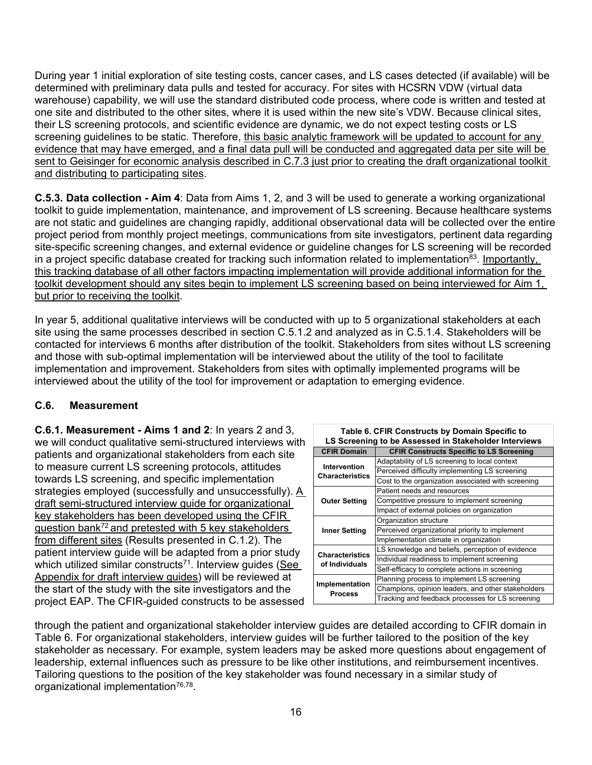During year 1 initial exploration of site testing costs, cancer cases, and LS cases detected (if available) will be determined with preliminary data pulls and tested for accuracy. For sites with HCSRN VDW (virtual data warehouse) capability, we will use the standard distributed code process, where code is written and tested at one site and distributed to the other sites, where it is used within the new site's VDW. Because clinical sites, their LS screening protocols, and scientific evidence are dynamic, we do not expect testing costs or LS screening guidelines to be static. Therefore, this basic analytic framework will be updated to account for any evidence that may have emerged, and a final data pull will be conducted and aggregated data per site will be sent to Geisinger for economic analysis described in C.7.3 just prior to creating the draft organizational toolkit and distributing to participating sites.

**C.5.3. Data collection - Aim 4**: Data from Aims 1, 2, and 3 will be used to generate a working organizational toolkit to guide implementation, maintenance, and improvement of LS screening. Because healthcare systems are not static and guidelines are changing rapidly, additional observational data will be collected over the entire project period from monthly project meetings, communications from site investigators, pertinent data regarding site-specific screening changes, and external evidence or guideline changes for LS screening will be recorded in a project specific database created for tracking such information related to implementation<sup>83</sup>. Importantly, this tracking database of all other factors impacting implementation will provide additional information for the toolkit development should any sites begin to implement LS screening based on being interviewed for Aim 1, but prior to receiving the toolkit.

In year 5, additional qualitative interviews will be conducted with up to 5 organizational stakeholders at each site using the same processes described in section C.5.1.2 and analyzed as in C.5.1.4. Stakeholders will be contacted for interviews 6 months after distribution of the toolkit. Stakeholders from sites without LS screening and those with sub-optimal implementation will be interviewed about the utility of the tool to facilitate implementation and improvement. Stakeholders from sites with optimally implemented programs will be interviewed about the utility of the tool for improvement or adaptation to emerging evidence.

### **C.6. Measurement**

**C.6.1. Measurement - Aims 1 and 2**: In years 2 and 3, we will conduct qualitative semi-structured interviews with patients and organizational stakeholders from each site to measure current LS screening protocols, attitudes towards LS screening, and specific implementation strategies employed (successfully and unsuccessfully). A draft semi-structured interview guide for organizational key stakeholders has been developed using the CFIR question ban[k72](#page-24-13) and pretested with 5 key stakeholders from different sites (Results presented in C.1.2). The patient interview guide will be adapted from a prior study which utilized similar constructs<sup> $71$ </sup>. Interview quides (See Appendix for draft interview guides) will be reviewed at the start of the study with the site investigators and the project EAP. The CFIR-guided constructs to be assessed

|                                  | Table 6. CFIR Constructs by Domain Specific to<br>LS Screening to be Assessed in Stakeholder Interviews |
|----------------------------------|---------------------------------------------------------------------------------------------------------|
| <b>CFIR Domain</b>               | <b>CFIR Constructs Specific to LS Screening</b>                                                         |
| Intervention                     | Adaptability of LS screening to local context                                                           |
| <b>Characteristics</b>           | Perceived difficulty implementing LS screening                                                          |
|                                  | Cost to the organization associated with screening                                                      |
|                                  | Patient needs and resources                                                                             |
| <b>Outer Setting</b>             | Competitive pressure to implement screening                                                             |
|                                  | Impact of external policies on organization                                                             |
|                                  | Organization structure                                                                                  |
| <b>Inner Setting</b>             | Perceived organizational priority to implement                                                          |
|                                  | Implementation climate in organization                                                                  |
| <b>Characteristics</b>           | LS knowledge and beliefs, perception of evidence                                                        |
| of Individuals                   | Individual readiness to implement screening                                                             |
|                                  | Self-efficacy to complete actions in screening                                                          |
|                                  | Planning process to implement LS screening                                                              |
| Implementation<br><b>Process</b> | Champions, opinion leaders, and other stakeholders                                                      |
|                                  | Tracking and feedback processes for LS screening                                                        |

through the patient and organizational stakeholder interview guides are detailed according to CFIR domain in Table 6. For organizational stakeholders, interview guides will be further tailored to the position of the key stakeholder as necessary. For example, system leaders may be asked more questions about engagement of leadership, external influences such as pressure to be like other institutions, and reimbursement incentives. Tailoring questions to the position of the key stakeholder was found necessary in a similar study of organizational implementation<sup>76,78</sup>.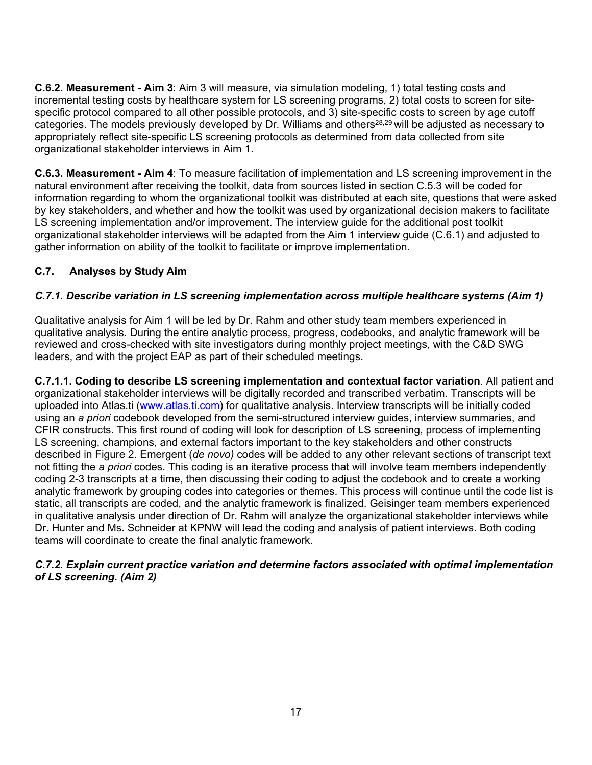**C.6.2. Measurement - Aim 3**: Aim 3 will measure, via simulation modeling, 1) total testing costs and incremental testing costs by healthcare system for LS screening programs, 2) total costs to screen for sitespecific protocol compared to all other possible protocols, and 3) site-specific costs to screen by age cutoff categories. The models previously developed by Dr. Williams and others<sup>28,[29](#page-22-5)</sup> will be adjusted as necessary to appropriately reflect site-specific LS screening protocols as determined from data collected from site organizational stakeholder interviews in Aim 1.

**C.6.3. Measurement - Aim 4**: To measure facilitation of implementation and LS screening improvement in the natural environment after receiving the toolkit, data from sources listed in section C.5.3 will be coded for information regarding to whom the organizational toolkit was distributed at each site, questions that were asked by key stakeholders, and whether and how the toolkit was used by organizational decision makers to facilitate LS screening implementation and/or improvement. The interview guide for the additional post toolkit organizational stakeholder interviews will be adapted from the Aim 1 interview guide (C.6.1) and adjusted to gather information on ability of the toolkit to facilitate or improve implementation.

# **C.7. Analyses by Study Aim**

## *C.7.1. Describe variation in LS screening implementation across multiple healthcare systems (Aim 1)*

Qualitative analysis for Aim 1 will be led by Dr. Rahm and other study team members experienced in qualitative analysis. During the entire analytic process, progress, codebooks, and analytic framework will be reviewed and cross-checked with site investigators during monthly project meetings, with the C&D SWG leaders, and with the project EAP as part of their scheduled meetings.

**C.7.1.1. Coding to describe LS screening implementation and contextual factor variation**. All patient and organizational stakeholder interviews will be digitally recorded and transcribed verbatim. Transcripts will be uploaded into Atlas.ti [\(www.atlas.ti.com\)](file://nciis-p401.nci.nih.gov/Group02/DCCPS/Calibre/Applications/Sample%20Grant%20Applications/IS/In%20Progress%20-%20CA211723-01A1/www.atlas.ti.com) for qualitative analysis. Interview transcripts will be initially coded using an *a priori* codebook developed from the semi-structured interview guides, interview summaries, and CFIR constructs. This first round of coding will look for description of LS screening, process of implementing LS screening, champions, and external factors important to the key stakeholders and other constructs described in Figure 2. Emergent (*de novo)* codes will be added to any other relevant sections of transcript text not fitting the *a priori* codes. This coding is an iterative process that will involve team members independently coding 2-3 transcripts at a time, then discussing their coding to adjust the codebook and to create a working analytic framework by grouping codes into categories or themes. This process will continue until the code list is static, all transcripts are coded, and the analytic framework is finalized. Geisinger team members experienced in qualitative analysis under direction of Dr. Rahm will analyze the organizational stakeholder interviews while Dr. Hunter and Ms. Schneider at KPNW will lead the coding and analysis of patient interviews. Both coding teams will coordinate to create the final analytic framework.

#### *C.7.2. Explain current practice variation and determine factors associated with optimal implementation of LS screening. (Aim 2)*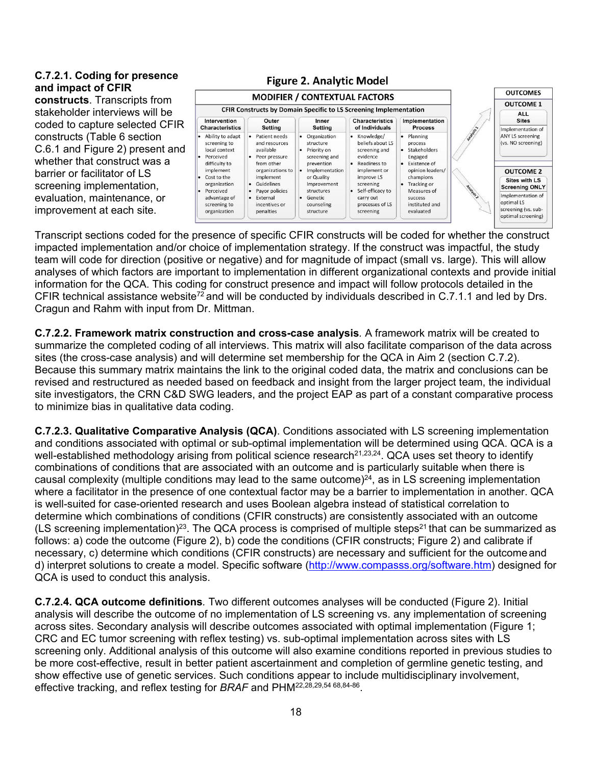#### **C.7.2.1. Coding for presence and impact of CFIR**

**constructs**. Transcripts from stakeholder interviews will be coded to capture selected CFIR constructs (Table 6 section C.6.1 and Figure 2) present and whether that construct was a barrier or facilitator of LS screening implementation, evaluation, maintenance, or improvement at each site.

|                                                                                                       | <b>MODIFIER / CONTEXTUAL FACTORS</b>                                                                      |                                                                                                                | <b>OUTCOMES</b>                                                                                          |                                                                                                              |                   |                                                                                                                             |
|-------------------------------------------------------------------------------------------------------|-----------------------------------------------------------------------------------------------------------|----------------------------------------------------------------------------------------------------------------|----------------------------------------------------------------------------------------------------------|--------------------------------------------------------------------------------------------------------------|-------------------|-----------------------------------------------------------------------------------------------------------------------------|
|                                                                                                       |                                                                                                           | <b>OUTCOME 1</b>                                                                                               |                                                                                                          |                                                                                                              |                   |                                                                                                                             |
| <b>Intervention</b><br><b>Characteristics</b>                                                         | CFIR Constructs by Domain Specific to LS Screening Implementation<br>Outer<br>Setting                     | Inner<br>Setting                                                                                               | <b>Characteristics</b><br>of Individuals                                                                 | Implementation<br><b>Process</b>                                                                             |                   | <b>ALL</b><br><b>Sites</b><br>Implementation of                                                                             |
| Ability to adapt<br>screening to<br>local context<br>Perceived<br>difficulty to                       | • Patient needs<br>and resources<br>available<br>Peer pressure<br>from other                              | • Organization<br>structure<br>Priority on<br>$\bullet$<br>screening and<br>prevention                         | • Knowledge/<br>beliefs about LS<br>screening and<br>evidence<br>Readiness to                            | • Planning<br>process<br>Stakeholders<br>Engaged<br>Existence of                                             | <b>Projection</b> | <b>ANY LS screening</b><br>(vs. NO screening)                                                                               |
| implement<br>Cost to the<br>organization<br>Perceived<br>advantage of<br>screening to<br>organization | organizations to<br>implement<br>· Guidelines<br>Payor policies<br>External<br>incentives or<br>penalties | • Implementation<br>or Quality<br>Improvement<br>structures<br>Genetic<br>$\bullet$<br>counseling<br>structure | implement or<br>improve LS<br>screening<br>Self-efficacy to<br>carry out<br>processes of LS<br>screening | opinion leaders/<br>champions<br><b>Tracking or</b><br>Measures of<br>success<br>instituted and<br>evaluated | Analysis 2        | <b>OUTCOME 2</b><br><b>Sites with LS</b><br><b>Screening ONLY</b><br>Implementation of<br>optimal LS<br>screening (vs. sub- |

Transcript sections coded for the presence of specific CFIR constructs will be coded for whether the construct impacted implementation and/or choice of implementation strategy. If the construct was impactful, the study team will code for direction (positive or negative) and for magnitude of impact (small vs. large). This will allow analyses of which factors are important to implementation in different organizational contexts and provide initial information for the QCA. This coding for construct presence and impact will follow protocols detailed in the CFIR technical assistance website<sup>72</sup> and will be conducted by individuals described in C.7.1.1 and led by Drs. Cragun and Rahm with input from Dr. Mittman.

**C.7.2.2. Framework matrix construction and cross-case analysis***.* A framework matrix will be created to summarize the completed coding of all interviews. This matrix will also facilitate comparison of the data across sites (the cross-case analysis) and will determine set membership for the QCA in Aim 2 (section C.7.2). Because this summary matrix maintains the link to the original coded data, the matrix and conclusions can be revised and restructured as needed based on feedback and insight from the larger project team, the individual site investigators, the CRN C&D SWG leaders, and the project EAP as part of a constant comparative process to minimize bias in qualitative data coding.

**C.7.2.3. Qualitative Comparative Analysis (QCA)**. Conditions associated with LS screening implementation and conditions associated with optimal or sub-optimal implementation will be determined using QCA. QCA is a well-established methodology arising from political science research<sup>21,[23,](#page-22-15)24</sup>. QCA uses set theory to identify combinations of conditions that are associated with an outcome and is particularly suitable when there is causal complexity (multiple conditions may lead to the same outcome)<sup>24</sup>, as in LS screening implementation where a facilitator in the presence of one contextual factor may be a barrier to implementation in another. QCA is well-suited for case-oriented research and uses Boolean algebra instead of statistical correlation to determine which combinations of conditions (CFIR constructs) are consistently associated with an outcome (LS screening implementation)<sup>23</sup>. The QCA process is comprised of multiple steps<sup>21</sup> that can be summarized as follows: a) code the outcome (Figure 2), b) code the conditions (CFIR constructs; Figure 2) and calibrate if necessary, c) determine which conditions (CFIR constructs) are necessary and sufficient for the outcomeand d) interpret solutions to create a model. Specific software [\(http://www.compasss.org/software.htm\)](http://www.compasss.org/software.htm) designed for QCA is used to conduct this analysis.

**C.7.2.4. QCA outcome definitions***.* Two different outcomes analyses will be conducted (Figure 2). Initial analysis will describe the outcome of no implementation of LS screening vs. any implementation of screening across sites. Secondary analysis will describe outcomes associated with optimal implementation (Figure 1; CRC and EC tumor screening with reflex testing) vs. sub-optimal implementation across sites with LS screening only. Additional analysis of this outcome will also examine conditions reported in previous studies to be more cost-effective, result in better patient ascertainment and completion of germline genetic testing, and show effective use of genetic services. Such conditions appear to include multidisciplinary involvement, effective tracking, and reflex testing for *BRAF* and PH[M22,](#page-22-1)[28](#page-22-4)[,29,](#page-22-5)[54](#page-23-10) [68,](#page-24-9)[84](#page-25-6)[-86.](#page-25-7)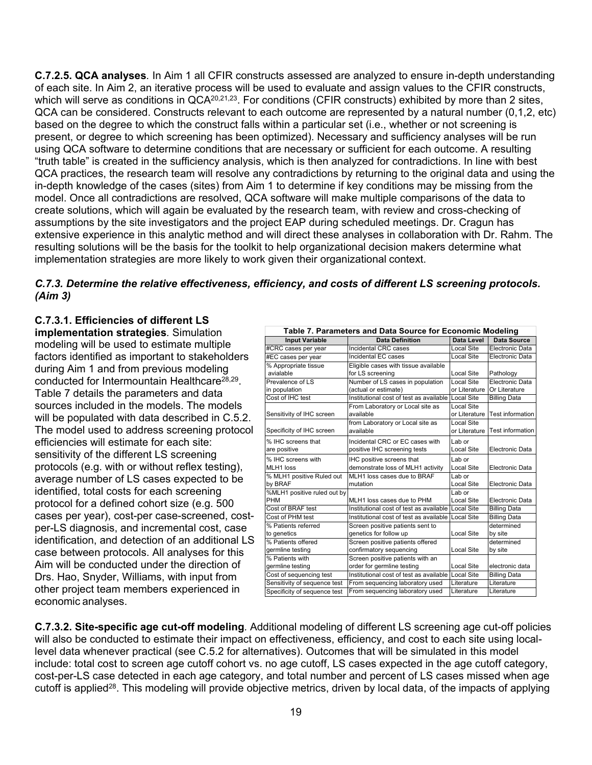**C.7.2.5. QCA analyses***.* In Aim 1 all CFIR constructs assessed are analyzed to ensure in-depth understanding of each site. In Aim 2, an iterative process will be used to evaluate and assign values to the CFIR constructs, which will serve as conditions in QCA<sup>20,[21,](#page-21-20)23</sup>. For conditions (CFIR constructs) exhibited by more than 2 sites, QCA can be considered. Constructs relevant to each outcome are represented by a natural number (0,1,2, etc) based on the degree to which the construct falls within a particular set (i.e., whether or not screening is present, or degree to which screening has been optimized). Necessary and sufficiency analyses will be run using QCA software to determine conditions that are necessary or sufficient for each outcome. A resulting "truth table" is created in the sufficiency analysis, which is then analyzed for contradictions. In line with best QCA practices, the research team will resolve any contradictions by returning to the original data and using the in-depth knowledge of the cases (sites) from Aim 1 to determine if key conditions may be missing from the model. Once all contradictions are resolved, QCA software will make multiple comparisons of the data to create solutions, which will again be evaluated by the research team, with review and cross-checking of assumptions by the site investigators and the project EAP during scheduled meetings. Dr. Cragun has extensive experience in this analytic method and will direct these analyses in collaboration with Dr. Rahm. The resulting solutions will be the basis for the toolkit to help organizational decision makers determine what implementation strategies are more likely to work given their organizational context.

#### *C.7.3. Determine the relative effectiveness, efficiency, and costs of different LS screening protocols. (Aim 3)*

### **C.7.3.1. Efficiencies of different LS**

**implementation strategies***.* Simulation modeling will be used to estimate multiple factors identified as important to stakeholders during Aim 1 and from previous modeling conducted for Intermountain Healthcare<sup>28,29</sup>. Table 7 details the parameters and data sources included in the models. The models will be populated with data described in C.5.2. The model used to address screening protocol efficiencies will estimate for each site: sensitivity of the different LS screening protocols (e.g. with or without reflex testing), average number of LS cases expected to be identified, total costs for each screening protocol for a defined cohort size (e.g. 500 cases per year), cost-per case-screened, costper-LS diagnosis, and incremental cost, case identification, and detection of an additional LS case between protocols. All analyses for this Aim will be conducted under the direction of Drs. Hao, Snyder, Williams, with input from other project team members experienced in economic analyses.

| Table 7. Parameters and Data Source for Economic Modeling |                                                    |                   |                         |  |  |  |  |  |  |  |  |
|-----------------------------------------------------------|----------------------------------------------------|-------------------|-------------------------|--|--|--|--|--|--|--|--|
| <b>Input Variable</b>                                     | <b>Data Definition</b>                             | Data Level        | Data Source             |  |  |  |  |  |  |  |  |
| #CRC cases per year                                       | Incidental CRC cases                               | Local Site        | Electronic Data         |  |  |  |  |  |  |  |  |
| #EC cases per year                                        | Incidental EC cases                                | <b>Local Site</b> | Electronic Data         |  |  |  |  |  |  |  |  |
| % Appropriate tissue                                      | Eligible cases with tissue available               |                   |                         |  |  |  |  |  |  |  |  |
| avialable                                                 | for LS screening                                   | Local Site        | Pathology               |  |  |  |  |  |  |  |  |
| Prevalence of LS                                          | Number of LS cases in population                   | Local Site        | Electronic Data         |  |  |  |  |  |  |  |  |
| in population                                             | (actual or estimate)                               | or Literature     | Or Literature           |  |  |  |  |  |  |  |  |
| Cost of IHC test                                          | Institutional cost of test as available            | Local Site        | <b>Billing Data</b>     |  |  |  |  |  |  |  |  |
|                                                           | From Laboratory or Local site as                   | Local Site        |                         |  |  |  |  |  |  |  |  |
| Sensitivity of IHC screen                                 | available                                          | or Literature     | <b>Test information</b> |  |  |  |  |  |  |  |  |
|                                                           | from Laboratory or Local site as                   | Local Site        |                         |  |  |  |  |  |  |  |  |
| Specificity of IHC screen                                 | available                                          | or Literature     | <b>Test information</b> |  |  |  |  |  |  |  |  |
| % IHC screens that                                        | Incidental CRC or EC cases with                    | Lab or            |                         |  |  |  |  |  |  |  |  |
| are positive                                              | positive IHC screening tests                       | Local Site        | Electronic Data         |  |  |  |  |  |  |  |  |
| % IHC screens with                                        | IHC positive screens that                          | Lab or            |                         |  |  |  |  |  |  |  |  |
| MLH1 loss                                                 | demonstrate loss of MLH1 activity                  | Local Site        | Electronic Data         |  |  |  |  |  |  |  |  |
| % MLH1 positive Ruled out                                 | MLH1 loss cases due to BRAF                        | Lab or            |                         |  |  |  |  |  |  |  |  |
| by BRAF                                                   | mutation                                           | Local Site        | Electronic Data         |  |  |  |  |  |  |  |  |
| %MLH1 positive ruled out by                               |                                                    | Lab or            |                         |  |  |  |  |  |  |  |  |
| <b>PHM</b>                                                | MLH1 loss cases due to PHM                         | Local Site        | Electronic Data         |  |  |  |  |  |  |  |  |
| Cost of BRAF test                                         | Institutional cost of test as available            | Local Site        | <b>Billing Data</b>     |  |  |  |  |  |  |  |  |
| Cost of PHM test                                          | Institutional cost of test as available            | <b>Local Site</b> | <b>Billing Data</b>     |  |  |  |  |  |  |  |  |
| % Patients referred                                       | Screen positive patients sent to                   |                   | determined              |  |  |  |  |  |  |  |  |
| to genetics                                               | genetics for follow up                             | <b>Local Site</b> | by site                 |  |  |  |  |  |  |  |  |
| % Patients offered                                        | Screen positive patients offered                   |                   | determined              |  |  |  |  |  |  |  |  |
| germline testing                                          | confirmatory sequencing                            | Local Site        | by site                 |  |  |  |  |  |  |  |  |
| % Patients with                                           | Screen positive patients with an                   |                   |                         |  |  |  |  |  |  |  |  |
| germline testing                                          | order for germline testing                         | Local Site        | electronic data         |  |  |  |  |  |  |  |  |
| Cost of sequencing test                                   | Institutional cost of test as available Local Site |                   | <b>Billing Data</b>     |  |  |  |  |  |  |  |  |
| Sensitivity of sequence test                              | From sequencing laboratory used                    | Literature        | Literature              |  |  |  |  |  |  |  |  |
| Specificity of sequence test                              | From sequencing laboratory used                    | Literature        | Literature              |  |  |  |  |  |  |  |  |

**C.7.3.2. Site-specific age cut-off modeling***.* Additional modeling of different LS screening age cut-off policies will also be conducted to estimate their impact on effectiveness, efficiency, and cost to each site using locallevel data whenever practical (see C.5.2 for alternatives). Outcomes that will be simulated in this model include: total cost to screen age cutoff cohort vs. no age cutoff, LS cases expected in the age cutoff category, cost-per-LS case detected in each age category, and total number and percent of LS cases missed when age cutoff is applied<sup>28</sup>. This modeling will provide objective metrics, driven by local data, of the impacts of applying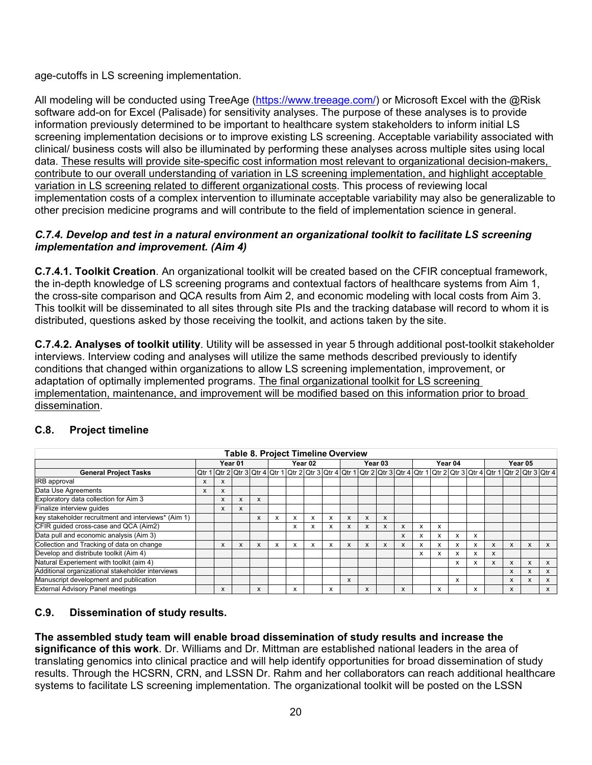age-cutoffs in LS screening implementation.

All modeling will be conducted using TreeAge [\(https://www.treeage.com/\)](https://www.treeage.com/) or Microsoft Excel with the @Risk software add-on for Excel (Palisade) for sensitivity analyses. The purpose of these analyses is to provide information previously determined to be important to healthcare system stakeholders to inform initial LS screening implementation decisions or to improve existing LS screening. Acceptable variability associated with clinical/ business costs will also be illuminated by performing these analyses across multiple sites using local data. These results will provide site-specific cost information most relevant to organizational decision-makers, contribute to our overall understanding of variation in LS screening implementation, and highlight acceptable variation in LS screening related to different organizational costs. This process of reviewing local implementation costs of a complex intervention to illuminate acceptable variability may also be generalizable to other precision medicine programs and will contribute to the field of implementation science in general.

#### *C.7.4. Develop and test in a natural environment an organizational toolkit to facilitate LS screening implementation and improvement. (Aim 4)*

**C.7.4.1. Toolkit Creation**. An organizational toolkit will be created based on the CFIR conceptual framework, the in-depth knowledge of LS screening programs and contextual factors of healthcare systems from Aim 1, the cross-site comparison and QCA results from Aim 2, and economic modeling with local costs from Aim 3. This toolkit will be disseminated to all sites through site PIs and the tracking database will record to whom it is distributed, questions asked by those receiving the toolkit, and actions taken by the site.

**C.7.4.2. Analyses of toolkit utility**. Utility will be assessed in year 5 through additional post-toolkit stakeholder interviews. Interview coding and analyses will utilize the same methods described previously to identify conditions that changed within organizations to allow LS screening implementation, improvement, or adaptation of optimally implemented programs. The final organizational toolkit for LS screening implementation, maintenance, and improvement will be modified based on this information prior to broad dissemination.

| <b>Table 8. Project Timeline Overview</b>           |         |   |   |         |   |   |         |   |   |   |         |   |   |   |         |   |   |   |                                                                                                                                                                  |   |
|-----------------------------------------------------|---------|---|---|---------|---|---|---------|---|---|---|---------|---|---|---|---------|---|---|---|------------------------------------------------------------------------------------------------------------------------------------------------------------------|---|
|                                                     | Year 01 |   |   | Year 02 |   |   | Year 03 |   |   |   | Year 04 |   |   |   | Year 05 |   |   |   |                                                                                                                                                                  |   |
| <b>General Project Tasks</b>                        |         |   |   |         |   |   |         |   |   |   |         |   |   |   |         |   |   |   | <u>1 Qtr 1   Qtr 2   Qtr 3   Qtr 4   Qtr 1   Qtr 2   Qtr 3   Qtr 4   Qtr 2   Qtr 3   Qtr 4   Qtr 1   Qtr 3   Qtr 4   Qtr 1   Qtr 3   Qtr 4   Qtr 3   Qtr 4  </u> |   |
| <b>IRB</b> approval                                 | X       | x |   |         |   |   |         |   |   |   |         |   |   |   |         |   |   |   |                                                                                                                                                                  |   |
| Data Use Agreements                                 | X       | X |   |         |   |   |         |   |   |   |         |   |   |   |         |   |   |   |                                                                                                                                                                  |   |
| Exploratory data collection for Aim 3               |         | X | X | x       |   |   |         |   |   |   |         |   |   |   |         |   |   |   |                                                                                                                                                                  |   |
| Finalize interview guides                           |         | x | x |         |   |   |         |   |   |   |         |   |   |   |         |   |   |   |                                                                                                                                                                  |   |
| key stakeholder recruitment and interviews* (Aim 1) |         |   |   | X       | ⋏ | x | x       | X | x | X | X       |   |   |   |         |   |   |   |                                                                                                                                                                  |   |
| CFIR guided cross-case and QCA (Aim2)               |         |   |   |         |   | x | x       | x | X |   | X       | x | x | x |         |   |   |   |                                                                                                                                                                  |   |
| Data pull and economic analysis (Aim 3)             |         |   |   |         |   |   |         |   |   |   |         | x | х | x | x       | x |   |   |                                                                                                                                                                  |   |
| Collection and Tracking of data on change           |         | X | x | x       | x | x | x       | x | x | X | x       | x | x | x | X       | x | x | X | x                                                                                                                                                                | x |
| Develop and distribute toolkit (Aim 4)              |         |   |   |         |   |   |         |   |   |   |         |   | x | x | X       | x | x |   |                                                                                                                                                                  |   |
| Natural Experiement with toolkit (aim 4)            |         |   |   |         |   |   |         |   |   |   |         |   |   |   | X       | x | x | X |                                                                                                                                                                  |   |
| Additional organizational stakeholder interviews    |         |   |   |         |   |   |         |   |   |   |         |   |   |   |         |   |   | x |                                                                                                                                                                  | X |
| Manuscript development and publication              |         |   |   |         |   |   |         |   | X |   |         |   |   |   | X       |   |   | x | X                                                                                                                                                                | X |
| <b>External Advisory Panel meetings</b>             |         | x |   | x       |   | x |         | x |   |   |         |   |   | x |         | x |   | x |                                                                                                                                                                  | X |

### **C.8. Project timeline**

### **C.9. Dissemination of study results.**

### **The assembled study team will enable broad dissemination of study results and increase the**

**significance of this work**. Dr. Williams and Dr. Mittman are established national leaders in the area of translating genomics into clinical practice and will help identify opportunities for broad dissemination of study results. Through the HCSRN, CRN, and LSSN Dr. Rahm and her collaborators can reach additional healthcare systems to facilitate LS screening implementation. The organizational toolkit will be posted on the LSSN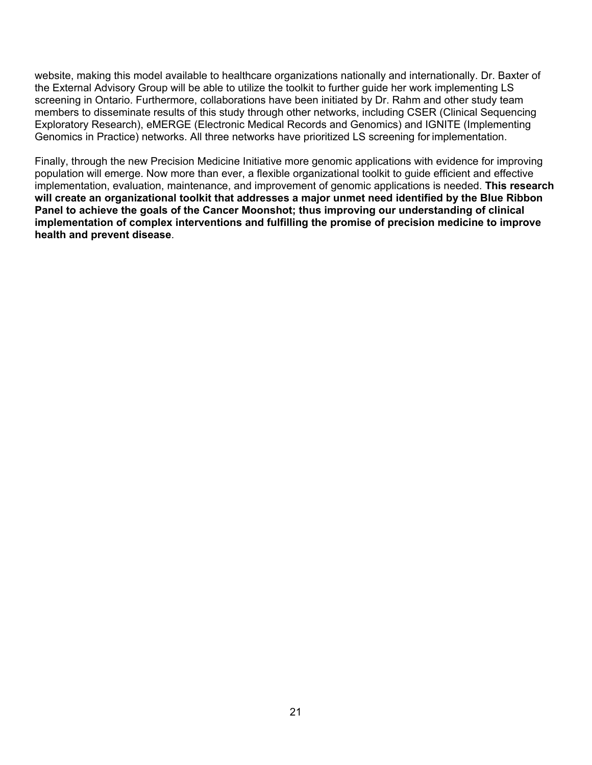website, making this model available to healthcare organizations nationally and internationally. Dr. Baxter of the External Advisory Group will be able to utilize the toolkit to further guide her work implementing LS screening in Ontario. Furthermore, collaborations have been initiated by Dr. Rahm and other study team members to disseminate results of this study through other networks, including CSER (Clinical Sequencing Exploratory Research), eMERGE (Electronic Medical Records and Genomics) and IGNITE (Implementing Genomics in Practice) networks. All three networks have prioritized LS screening for implementation.

Finally, through the new Precision Medicine Initiative more genomic applications with evidence for improving population will emerge. Now more than ever, a flexible organizational toolkit to guide efficient and effective implementation, evaluation, maintenance, and improvement of genomic applications is needed. **This research will create an organizational toolkit that addresses a major unmet need identified by the Blue Ribbon Panel to achieve the goals of the Cancer Moonshot; thus improving our understanding of clinical implementation of complex interventions and fulfilling the promise of precision medicine to improve health and prevent disease**.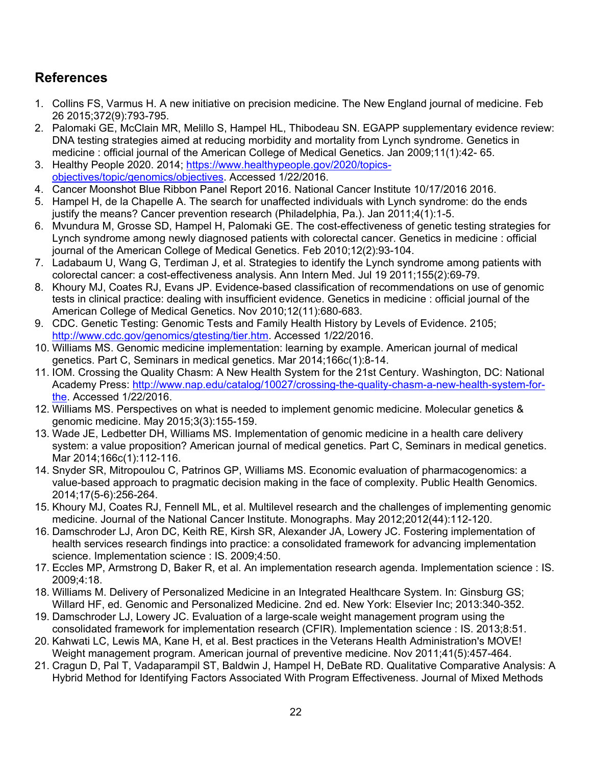# <span id="page-21-0"></span>**References**

- <span id="page-21-1"></span>1. Collins FS, Varmus H. A new initiative on precision medicine. The New England journal of medicine. Feb 26 2015;372(9):793-795.
- <span id="page-21-2"></span>2. Palomaki GE, McClain MR, Melillo S, Hampel HL, Thibodeau SN. EGAPP supplementary evidence review: DNA testing strategies aimed at reducing morbidity and mortality from Lynch syndrome. Genetics in medicine : official journal of the American College of Medical Genetics. Jan 2009;11(1):42- 65.
- <span id="page-21-3"></span>3. Healthy People 2020. 2014; [https://www.healthypeople.gov/2020/topics](https://www.healthypeople.gov/2020/topics-objectives/topic/genomics/objectives)[objectives/topic/genomics/objectives.](https://www.healthypeople.gov/2020/topics-objectives/topic/genomics/objectives) Accessed 1/22/2016.
- <span id="page-21-4"></span>4. Cancer Moonshot Blue Ribbon Panel Report 2016. National Cancer Institute 10/17/2016 2016.
- <span id="page-21-5"></span>5. Hampel H, de la Chapelle A. The search for unaffected individuals with Lynch syndrome: do the ends justify the means? Cancer prevention research (Philadelphia, Pa.). Jan 2011;4(1):1-5.
- <span id="page-21-6"></span>6. Mvundura M, Grosse SD, Hampel H, Palomaki GE. The cost-effectiveness of genetic testing strategies for Lynch syndrome among newly diagnosed patients with colorectal cancer. Genetics in medicine : official journal of the American College of Medical Genetics. Feb 2010;12(2):93-104.
- <span id="page-21-7"></span>7. Ladabaum U, Wang G, Terdiman J, et al. Strategies to identify the Lynch syndrome among patients with colorectal cancer: a cost-effectiveness analysis. Ann Intern Med. Jul 19 2011;155(2):69-79.
- <span id="page-21-8"></span>8. Khoury MJ, Coates RJ, Evans JP. Evidence-based classification of recommendations on use of genomic tests in clinical practice: dealing with insufficient evidence. Genetics in medicine : official journal of the American College of Medical Genetics. Nov 2010;12(11):680-683.
- <span id="page-21-9"></span>9. CDC. Genetic Testing: Genomic Tests and Family Health History by Levels of Evidence. 2105; [http://www.cdc.gov/genomics/gtesting/tier.htm.](http://www.cdc.gov/genomics/gtesting/tier.htm) Accessed 1/22/2016.
- <span id="page-21-10"></span>10. Williams MS. Genomic medicine implementation: learning by example. American journal of medical genetics. Part C, Seminars in medical genetics. Mar 2014;166c(1):8-14.
- <span id="page-21-11"></span>11. IOM. Crossing the Quality Chasm: A New Health System for the 21st Century. Washington, DC: National Academy Press: [http://www.nap.edu/catalog/10027/crossing-the-quality-chasm-a-new-health-system-for](http://www.nap.edu/catalog/10027/crossing-the-quality-chasm-a-new-health-system-for-the)[the.](http://www.nap.edu/catalog/10027/crossing-the-quality-chasm-a-new-health-system-for-the) Accessed 1/22/2016.
- <span id="page-21-12"></span>12. Williams MS. Perspectives on what is needed to implement genomic medicine. Molecular genetics & genomic medicine. May 2015;3(3):155-159.
- <span id="page-21-19"></span>13. Wade JE, Ledbetter DH, Williams MS. Implementation of genomic medicine in a health care delivery system: a value proposition? American journal of medical genetics. Part C, Seminars in medical genetics. Mar 2014;166c(1):112-116.
- <span id="page-21-13"></span>14. Snyder SR, Mitropoulou C, Patrinos GP, Williams MS. Economic evaluation of pharmacogenomics: a value-based approach to pragmatic decision making in the face of complexity. Public Health Genomics. 2014;17(5-6):256-264.
- <span id="page-21-14"></span>15. Khoury MJ, Coates RJ, Fennell ML, et al. Multilevel research and the challenges of implementing genomic medicine. Journal of the National Cancer Institute. Monographs. May 2012;2012(44):112-120.
- <span id="page-21-16"></span>16. Damschroder LJ, Aron DC, Keith RE, Kirsh SR, Alexander JA, Lowery JC. Fostering implementation of health services research findings into practice: a consolidated framework for advancing implementation science. Implementation science : IS. 2009;4:50.
- 17. Eccles MP, Armstrong D, Baker R, et al. An implementation research agenda. Implementation science : IS. 2009;4:18.
- <span id="page-21-15"></span>18. Williams M. Delivery of Personalized Medicine in an Integrated Healthcare System. In: Ginsburg GS; Willard HF, ed. Genomic and Personalized Medicine. 2nd ed. New York: Elsevier Inc; 2013:340-352.
- <span id="page-21-17"></span>19. Damschroder LJ, Lowery JC. Evaluation of a large-scale weight management program using the consolidated framework for implementation research (CFIR). Implementation science : IS. 2013;8:51.
- <span id="page-21-18"></span>20. Kahwati LC, Lewis MA, Kane H, et al. Best practices in the Veterans Health Administration's MOVE! Weight management program. American journal of preventive medicine. Nov 2011;41(5):457-464.
- <span id="page-21-20"></span>21. Cragun D, Pal T, Vadaparampil ST, Baldwin J, Hampel H, DeBate RD. Qualitative Comparative Analysis: A Hybrid Method for Identifying Factors Associated With Program Effectiveness. Journal of Mixed Methods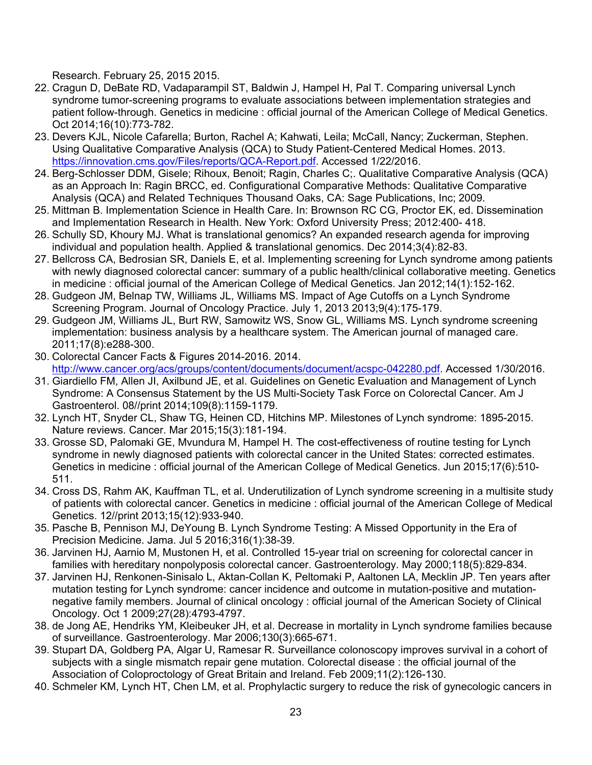Research. February 25, 2015 2015.

- <span id="page-22-1"></span>22. Cragun D, DeBate RD, Vadaparampil ST, Baldwin J, Hampel H, Pal T. Comparing universal Lynch syndrome tumor-screening programs to evaluate associations between implementation strategies and patient follow-through. Genetics in medicine : official journal of the American College of Medical Genetics. Oct 2014;16(10):773-782.
- <span id="page-22-15"></span>23. Devers KJL, Nicole Cafarella; Burton, Rachel A; Kahwati, Leila; McCall, Nancy; Zuckerman, Stephen. Using Qualitative Comparative Analysis (QCA) to Study Patient-Centered Medical Homes. 2013. [https://innovation.cms.gov/Files/reports/QCA-Report.pdf.](https://innovation.cms.gov/Files/reports/QCA-Report.pdf) Accessed 1/22/2016.
- <span id="page-22-0"></span>24. Berg-Schlosser DDM, Gisele; Rihoux, Benoit; Ragin, Charles C;. Qualitative Comparative Analysis (QCA) as an Approach In: Ragin BRCC, ed. Configurational Comparative Methods: Qualitative Comparative Analysis (QCA) and Related Techniques Thousand Oaks, CA: Sage Publications, Inc; 2009.
- <span id="page-22-2"></span>25. Mittman B. Implementation Science in Health Care. In: Brownson RC CG, Proctor EK, ed. Dissemination and Implementation Research in Health. New York: Oxford University Press; 2012:400- 418.
- 26. Schully SD, Khoury MJ. What is translational genomics? An expanded research agenda for improving individual and population health. Applied & translational genomics. Dec 2014;3(4):82-83.
- <span id="page-22-3"></span>27. Bellcross CA, Bedrosian SR, Daniels E, et al. Implementing screening for Lynch syndrome among patients with newly diagnosed colorectal cancer: summary of a public health/clinical collaborative meeting. Genetics in medicine : official journal of the American College of Medical Genetics. Jan 2012;14(1):152-162.
- <span id="page-22-4"></span>28. Gudgeon JM, Belnap TW, Williams JL, Williams MS. Impact of Age Cutoffs on a Lynch Syndrome Screening Program. Journal of Oncology Practice. July 1, 2013 2013;9(4):175-179.
- <span id="page-22-5"></span>29. Gudgeon JM, Williams JL, Burt RW, Samowitz WS, Snow GL, Williams MS. Lynch syndrome screening implementation: business analysis by a healthcare system. The American journal of managed care. 2011;17(8):e288-300.
- <span id="page-22-6"></span>30. Colorectal Cancer Facts & Figures 2014-2016. 2014. [http://www.cancer.org/acs/groups/content/documents/document/acspc-042280.pdf.](http://www.cancer.org/acs/groups/content/documents/document/acspc-042280.pdf) Accessed 1/30/2016.
- <span id="page-22-7"></span>31. Giardiello FM, Allen JI, Axilbund JE, et al. Guidelines on Genetic Evaluation and Management of Lynch Syndrome: A Consensus Statement by the US Multi-Society Task Force on Colorectal Cancer. Am J Gastroenterol. 08//print 2014;109(8):1159-1179.
- <span id="page-22-8"></span>32. Lynch HT, Snyder CL, Shaw TG, Heinen CD, Hitchins MP. Milestones of Lynch syndrome: 1895-2015. Nature reviews. Cancer. Mar 2015;15(3):181-194.
- <span id="page-22-9"></span>33. Grosse SD, Palomaki GE, Mvundura M, Hampel H. The cost-effectiveness of routine testing for Lynch syndrome in newly diagnosed patients with colorectal cancer in the United States: corrected estimates. Genetics in medicine : official journal of the American College of Medical Genetics. Jun 2015;17(6):510- 511.
- <span id="page-22-10"></span>34. Cross DS, Rahm AK, Kauffman TL, et al. Underutilization of Lynch syndrome screening in a multisite study of patients with colorectal cancer. Genetics in medicine : official journal of the American College of Medical Genetics. 12//print 2013;15(12):933-940.
- <span id="page-22-11"></span>35. Pasche B, Pennison MJ, DeYoung B. Lynch Syndrome Testing: A Missed Opportunity in the Era of Precision Medicine. Jama. Jul 5 2016;316(1):38-39.
- <span id="page-22-12"></span>36. Jarvinen HJ, Aarnio M, Mustonen H, et al. Controlled 15-year trial on screening for colorectal cancer in families with hereditary nonpolyposis colorectal cancer. Gastroenterology. May 2000;118(5):829-834.
- <span id="page-22-13"></span>37. Jarvinen HJ, Renkonen-Sinisalo L, Aktan-Collan K, Peltomaki P, Aaltonen LA, Mecklin JP. Ten years after mutation testing for Lynch syndrome: cancer incidence and outcome in mutation-positive and mutationnegative family members. Journal of clinical oncology : official journal of the American Society of Clinical Oncology. Oct 1 2009;27(28):4793-4797.
- 38. de Jong AE, Hendriks YM, Kleibeuker JH, et al. Decrease in mortality in Lynch syndrome families because of surveillance. Gastroenterology. Mar 2006;130(3):665-671.
- 39. Stupart DA, Goldberg PA, Algar U, Ramesar R. Surveillance colonoscopy improves survival in a cohort of subjects with a single mismatch repair gene mutation. Colorectal disease : the official journal of the Association of Coloproctology of Great Britain and Ireland. Feb 2009;11(2):126-130.
- <span id="page-22-14"></span>40. Schmeler KM, Lynch HT, Chen LM, et al. Prophylactic surgery to reduce the risk of gynecologic cancers in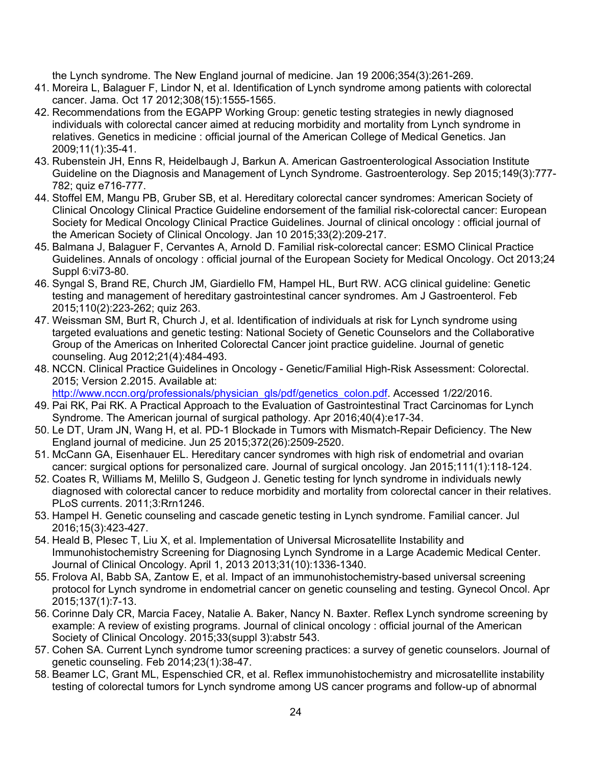the Lynch syndrome. The New England journal of medicine. Jan 19 2006;354(3):261-269.

- <span id="page-23-0"></span>41. Moreira L, Balaguer F, Lindor N, et al. Identification of Lynch syndrome among patients with colorectal cancer. Jama. Oct 17 2012;308(15):1555-1565.
- <span id="page-23-1"></span>42. Recommendations from the EGAPP Working Group: genetic testing strategies in newly diagnosed individuals with colorectal cancer aimed at reducing morbidity and mortality from Lynch syndrome in relatives. Genetics in medicine : official journal of the American College of Medical Genetics. Jan 2009;11(1):35-41.
- <span id="page-23-2"></span>43. Rubenstein JH, Enns R, Heidelbaugh J, Barkun A. American Gastroenterological Association Institute Guideline on the Diagnosis and Management of Lynch Syndrome. Gastroenterology. Sep 2015;149(3):777- 782; quiz e716-777.
- <span id="page-23-15"></span>44. Stoffel EM, Mangu PB, Gruber SB, et al. Hereditary colorectal cancer syndromes: American Society of Clinical Oncology Clinical Practice Guideline endorsement of the familial risk-colorectal cancer: European Society for Medical Oncology Clinical Practice Guidelines. Journal of clinical oncology : official journal of the American Society of Clinical Oncology. Jan 10 2015;33(2):209-217.
- 45. Balmana J, Balaguer F, Cervantes A, Arnold D. Familial risk-colorectal cancer: ESMO Clinical Practice Guidelines. Annals of oncology : official journal of the European Society for Medical Oncology. Oct 2013;24 Suppl 6:vi73-80.
- 46. Syngal S, Brand RE, Church JM, Giardiello FM, Hampel HL, Burt RW. ACG clinical guideline: Genetic testing and management of hereditary gastrointestinal cancer syndromes. Am J Gastroenterol. Feb 2015;110(2):223-262; quiz 263.
- <span id="page-23-3"></span>47. Weissman SM, Burt R, Church J, et al. Identification of individuals at risk for Lynch syndrome using targeted evaluations and genetic testing: National Society of Genetic Counselors and the Collaborative Group of the Americas on Inherited Colorectal Cancer joint practice guideline. Journal of genetic counseling. Aug 2012;21(4):484-493.
- <span id="page-23-4"></span>48. NCCN. Clinical Practice Guidelines in Oncology - Genetic/Familial High-Risk Assessment: Colorectal. 2015; Version 2.2015. Available at: [http://www.nccn.org/professionals/physician\\_gls/pdf/genetics\\_colon.pdf.](http://www.nccn.org/professionals/physician_gls/pdf/genetics_colon.pdf) Accessed 1/22/2016.
- <span id="page-23-5"></span>49. Pai RK, Pai RK. A Practical Approach to the Evaluation of Gastrointestinal Tract Carcinomas for Lynch Syndrome. The American journal of surgical pathology. Apr 2016;40(4):e17-34.
- <span id="page-23-6"></span>50. Le DT, Uram JN, Wang H, et al. PD-1 Blockade in Tumors with Mismatch-Repair Deficiency. The New England journal of medicine. Jun 25 2015;372(26):2509-2520.
- <span id="page-23-7"></span>51. McCann GA, Eisenhauer EL. Hereditary cancer syndromes with high risk of endometrial and ovarian cancer: surgical options for personalized care. Journal of surgical oncology. Jan 2015;111(1):118-124.
- <span id="page-23-8"></span>52. Coates R, Williams M, Melillo S, Gudgeon J. Genetic testing for lynch syndrome in individuals newly diagnosed with colorectal cancer to reduce morbidity and mortality from colorectal cancer in their relatives. PLoS currents. 2011;3:Rrn1246.
- <span id="page-23-9"></span>53. Hampel H. Genetic counseling and cascade genetic testing in Lynch syndrome. Familial cancer. Jul 2016;15(3):423-427.
- <span id="page-23-10"></span>54. Heald B, Plesec T, Liu X, et al. Implementation of Universal Microsatellite Instability and Immunohistochemistry Screening for Diagnosing Lynch Syndrome in a Large Academic Medical Center. Journal of Clinical Oncology. April 1, 2013 2013;31(10):1336-1340.
- <span id="page-23-11"></span>55. Frolova AI, Babb SA, Zantow E, et al. Impact of an immunohistochemistry-based universal screening protocol for Lynch syndrome in endometrial cancer on genetic counseling and testing. Gynecol Oncol. Apr 2015;137(1):7-13.
- <span id="page-23-12"></span>56. Corinne Daly CR, Marcia Facey, Natalie A. Baker, Nancy N. Baxter. Reflex Lynch syndrome screening by example: A review of existing programs. Journal of clinical oncology : official journal of the American Society of Clinical Oncology. 2015;33(suppl 3):abstr 543.
- <span id="page-23-13"></span>57. Cohen SA. Current Lynch syndrome tumor screening practices: a survey of genetic counselors. Journal of genetic counseling. Feb 2014;23(1):38-47.
- <span id="page-23-14"></span>58. Beamer LC, Grant ML, Espenschied CR, et al. Reflex immunohistochemistry and microsatellite instability testing of colorectal tumors for Lynch syndrome among US cancer programs and follow-up of abnormal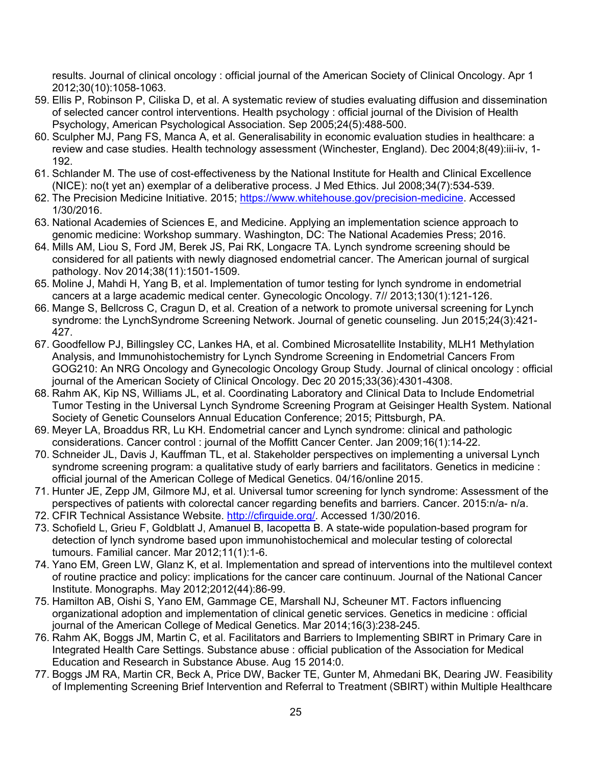results. Journal of clinical oncology : official journal of the American Society of Clinical Oncology. Apr 1 2012;30(10):1058-1063.

- <span id="page-24-0"></span>59. Ellis P, Robinson P, Ciliska D, et al. A systematic review of studies evaluating diffusion and dissemination of selected cancer control interventions. Health psychology : official journal of the Division of Health Psychology, American Psychological Association. Sep 2005;24(5):488-500.
- <span id="page-24-1"></span>60. Sculpher MJ, Pang FS, Manca A, et al. Generalisability in economic evaluation studies in healthcare: a review and case studies. Health technology assessment (Winchester, England). Dec 2004;8(49):iii-iv, 1- 192.
- <span id="page-24-2"></span>61. Schlander M. The use of cost-effectiveness by the National Institute for Health and Clinical Excellence (NICE): no(t yet an) exemplar of a deliberative process. J Med Ethics. Jul 2008;34(7):534-539.
- <span id="page-24-3"></span>62. The Precision Medicine Initiative. 2015; [https://www.whitehouse.gov/precision-medicine.](https://www.whitehouse.gov/precision-medicine) Accessed 1/30/2016.
- <span id="page-24-4"></span>63. National Academies of Sciences E, and Medicine. Applying an implementation science approach to genomic medicine: Workshop summary. Washington, DC: The National Academies Press; 2016.
- <span id="page-24-5"></span>64. Mills AM, Liou S, Ford JM, Berek JS, Pai RK, Longacre TA. Lynch syndrome screening should be considered for all patients with newly diagnosed endometrial cancer. The American journal of surgical pathology. Nov 2014;38(11):1501-1509.
- <span id="page-24-6"></span>65. Moline J, Mahdi H, Yang B, et al. Implementation of tumor testing for lynch syndrome in endometrial cancers at a large academic medical center. Gynecologic Oncology. 7// 2013;130(1):121-126.
- <span id="page-24-7"></span>66. Mange S, Bellcross C, Cragun D, et al. Creation of a network to promote universal screening for Lynch syndrome: the LynchSyndrome Screening Network. Journal of genetic counseling. Jun 2015;24(3):421- 427.
- <span id="page-24-8"></span>67. Goodfellow PJ, Billingsley CC, Lankes HA, et al. Combined Microsatellite Instability, MLH1 Methylation Analysis, and Immunohistochemistry for Lynch Syndrome Screening in Endometrial Cancers From GOG210: An NRG Oncology and Gynecologic Oncology Group Study. Journal of clinical oncology : official journal of the American Society of Clinical Oncology. Dec 20 2015;33(36):4301-4308.
- <span id="page-24-9"></span>68. Rahm AK, Kip NS, Williams JL, et al. Coordinating Laboratory and Clinical Data to Include Endometrial Tumor Testing in the Universal Lynch Syndrome Screening Program at Geisinger Health System. National Society of Genetic Counselors Annual Education Conference; 2015; Pittsburgh, PA.
- <span id="page-24-10"></span>69. Meyer LA, Broaddus RR, Lu KH. Endometrial cancer and Lynch syndrome: clinical and pathologic considerations. Cancer control : journal of the Moffitt Cancer Center. Jan 2009;16(1):14-22.
- <span id="page-24-11"></span>70. Schneider JL, Davis J, Kauffman TL, et al. Stakeholder perspectives on implementing a universal Lynch syndrome screening program: a qualitative study of early barriers and facilitators. Genetics in medicine : official journal of the American College of Medical Genetics. 04/16/online 2015.
- <span id="page-24-12"></span>71. Hunter JE, Zepp JM, Gilmore MJ, et al. Universal tumor screening for lynch syndrome: Assessment of the perspectives of patients with colorectal cancer regarding benefits and barriers. Cancer. 2015:n/a- n/a.
- <span id="page-24-13"></span>72. CFIR Technical Assistance Website. [http://cfirguide.org/.](http://cfirguide.org/) Accessed 1/30/2016.
- <span id="page-24-14"></span>73. Schofield L, Grieu F, Goldblatt J, Amanuel B, Iacopetta B. A state-wide population-based program for detection of lynch syndrome based upon immunohistochemical and molecular testing of colorectal tumours. Familial cancer. Mar 2012;11(1):1-6.
- <span id="page-24-15"></span>74. Yano EM, Green LW, Glanz K, et al. Implementation and spread of interventions into the multilevel context of routine practice and policy: implications for the cancer care continuum. Journal of the National Cancer Institute. Monographs. May 2012;2012(44):86-99.
- <span id="page-24-16"></span>75. Hamilton AB, Oishi S, Yano EM, Gammage CE, Marshall NJ, Scheuner MT. Factors influencing organizational adoption and implementation of clinical genetic services. Genetics in medicine : official journal of the American College of Medical Genetics. Mar 2014;16(3):238-245.
- <span id="page-24-17"></span>76. Rahm AK, Boggs JM, Martin C, et al. Facilitators and Barriers to Implementing SBIRT in Primary Care in Integrated Health Care Settings. Substance abuse : official publication of the Association for Medical Education and Research in Substance Abuse. Aug 15 2014:0.
- <span id="page-24-18"></span>77. Boggs JM RA, Martin CR, Beck A, Price DW, Backer TE, Gunter M, Ahmedani BK, Dearing JW. Feasibility of Implementing Screening Brief Intervention and Referral to Treatment (SBIRT) within Multiple Healthcare